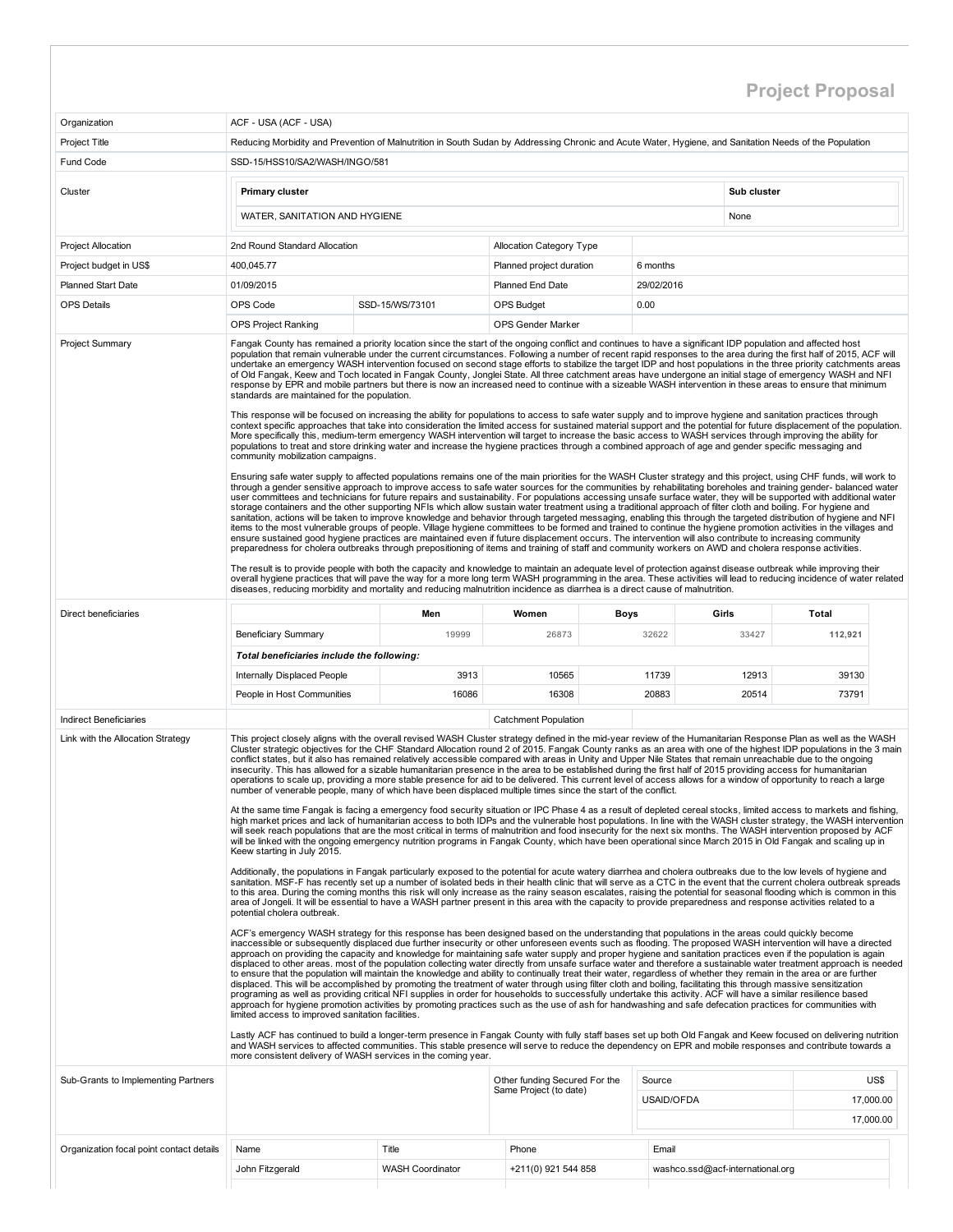## Project Proposal

| Organization                                                       | ACF - USA (ACF - USA)                                                                                           |                                                                                                                                                                                                                                                                                                                                                                                                                                                                                                                                                                                                                                                                                                                                                                                                                                                                                                                                                                                                                                                                                                                                                                                                                                                                                                                                                                                                                                                                                                                                                                                                                                                                                                                                                                                                                                                                                                                                                                                                                                                                                                                                                                                                                                                                                                                                                                                                                                                                                                                                                                                                                                                                                                                                                                                                                                                                                                                                                                                                                                                                                                                                                                                                                                                                                                                                                                                                                                                                                                                                                                                                                                                                                                                                                                                                                                                                                                                                                                                                                                                                                            |                                        |                |                |                |
|--------------------------------------------------------------------|-----------------------------------------------------------------------------------------------------------------|--------------------------------------------------------------------------------------------------------------------------------------------------------------------------------------------------------------------------------------------------------------------------------------------------------------------------------------------------------------------------------------------------------------------------------------------------------------------------------------------------------------------------------------------------------------------------------------------------------------------------------------------------------------------------------------------------------------------------------------------------------------------------------------------------------------------------------------------------------------------------------------------------------------------------------------------------------------------------------------------------------------------------------------------------------------------------------------------------------------------------------------------------------------------------------------------------------------------------------------------------------------------------------------------------------------------------------------------------------------------------------------------------------------------------------------------------------------------------------------------------------------------------------------------------------------------------------------------------------------------------------------------------------------------------------------------------------------------------------------------------------------------------------------------------------------------------------------------------------------------------------------------------------------------------------------------------------------------------------------------------------------------------------------------------------------------------------------------------------------------------------------------------------------------------------------------------------------------------------------------------------------------------------------------------------------------------------------------------------------------------------------------------------------------------------------------------------------------------------------------------------------------------------------------------------------------------------------------------------------------------------------------------------------------------------------------------------------------------------------------------------------------------------------------------------------------------------------------------------------------------------------------------------------------------------------------------------------------------------------------------------------------------------------------------------------------------------------------------------------------------------------------------------------------------------------------------------------------------------------------------------------------------------------------------------------------------------------------------------------------------------------------------------------------------------------------------------------------------------------------------------------------------------------------------------------------------------------------------------------------------------------------------------------------------------------------------------------------------------------------------------------------------------------------------------------------------------------------------------------------------------------------------------------------------------------------------------------------------------------------------------------------------------------------------------------------------------------------|----------------------------------------|----------------|----------------|----------------|
| <b>Project Title</b>                                               |                                                                                                                 | Reducing Morbidity and Prevention of Malnutrition in South Sudan by Addressing Chronic and Acute Water, Hygiene, and Sanitation Needs of the Population                                                                                                                                                                                                                                                                                                                                                                                                                                                                                                                                                                                                                                                                                                                                                                                                                                                                                                                                                                                                                                                                                                                                                                                                                                                                                                                                                                                                                                                                                                                                                                                                                                                                                                                                                                                                                                                                                                                                                                                                                                                                                                                                                                                                                                                                                                                                                                                                                                                                                                                                                                                                                                                                                                                                                                                                                                                                                                                                                                                                                                                                                                                                                                                                                                                                                                                                                                                                                                                                                                                                                                                                                                                                                                                                                                                                                                                                                                                                    |                                        |                |                |                |
| Fund Code                                                          | SSD-15/HSS10/SA2/WASH/INGO/581                                                                                  |                                                                                                                                                                                                                                                                                                                                                                                                                                                                                                                                                                                                                                                                                                                                                                                                                                                                                                                                                                                                                                                                                                                                                                                                                                                                                                                                                                                                                                                                                                                                                                                                                                                                                                                                                                                                                                                                                                                                                                                                                                                                                                                                                                                                                                                                                                                                                                                                                                                                                                                                                                                                                                                                                                                                                                                                                                                                                                                                                                                                                                                                                                                                                                                                                                                                                                                                                                                                                                                                                                                                                                                                                                                                                                                                                                                                                                                                                                                                                                                                                                                                                            |                                        |                |                |                |
| Cluster                                                            | Primary cluster                                                                                                 |                                                                                                                                                                                                                                                                                                                                                                                                                                                                                                                                                                                                                                                                                                                                                                                                                                                                                                                                                                                                                                                                                                                                                                                                                                                                                                                                                                                                                                                                                                                                                                                                                                                                                                                                                                                                                                                                                                                                                                                                                                                                                                                                                                                                                                                                                                                                                                                                                                                                                                                                                                                                                                                                                                                                                                                                                                                                                                                                                                                                                                                                                                                                                                                                                                                                                                                                                                                                                                                                                                                                                                                                                                                                                                                                                                                                                                                                                                                                                                                                                                                                                            |                                        |                | Sub cluster    |                |
|                                                                    | WATER, SANITATION AND HYGIENE                                                                                   |                                                                                                                                                                                                                                                                                                                                                                                                                                                                                                                                                                                                                                                                                                                                                                                                                                                                                                                                                                                                                                                                                                                                                                                                                                                                                                                                                                                                                                                                                                                                                                                                                                                                                                                                                                                                                                                                                                                                                                                                                                                                                                                                                                                                                                                                                                                                                                                                                                                                                                                                                                                                                                                                                                                                                                                                                                                                                                                                                                                                                                                                                                                                                                                                                                                                                                                                                                                                                                                                                                                                                                                                                                                                                                                                                                                                                                                                                                                                                                                                                                                                                            |                                        |                | None           |                |
|                                                                    |                                                                                                                 |                                                                                                                                                                                                                                                                                                                                                                                                                                                                                                                                                                                                                                                                                                                                                                                                                                                                                                                                                                                                                                                                                                                                                                                                                                                                                                                                                                                                                                                                                                                                                                                                                                                                                                                                                                                                                                                                                                                                                                                                                                                                                                                                                                                                                                                                                                                                                                                                                                                                                                                                                                                                                                                                                                                                                                                                                                                                                                                                                                                                                                                                                                                                                                                                                                                                                                                                                                                                                                                                                                                                                                                                                                                                                                                                                                                                                                                                                                                                                                                                                                                                                            |                                        |                |                |                |
| <b>Project Allocation</b>                                          | 2nd Round Standard Allocation                                                                                   |                                                                                                                                                                                                                                                                                                                                                                                                                                                                                                                                                                                                                                                                                                                                                                                                                                                                                                                                                                                                                                                                                                                                                                                                                                                                                                                                                                                                                                                                                                                                                                                                                                                                                                                                                                                                                                                                                                                                                                                                                                                                                                                                                                                                                                                                                                                                                                                                                                                                                                                                                                                                                                                                                                                                                                                                                                                                                                                                                                                                                                                                                                                                                                                                                                                                                                                                                                                                                                                                                                                                                                                                                                                                                                                                                                                                                                                                                                                                                                                                                                                                                            | Allocation Category Type               |                |                |                |
| Project budget in US\$                                             | 400.045.77                                                                                                      |                                                                                                                                                                                                                                                                                                                                                                                                                                                                                                                                                                                                                                                                                                                                                                                                                                                                                                                                                                                                                                                                                                                                                                                                                                                                                                                                                                                                                                                                                                                                                                                                                                                                                                                                                                                                                                                                                                                                                                                                                                                                                                                                                                                                                                                                                                                                                                                                                                                                                                                                                                                                                                                                                                                                                                                                                                                                                                                                                                                                                                                                                                                                                                                                                                                                                                                                                                                                                                                                                                                                                                                                                                                                                                                                                                                                                                                                                                                                                                                                                                                                                            | Planned project duration               | 6 months       |                |                |
| <b>Planned Start Date</b>                                          | 01/09/2015                                                                                                      |                                                                                                                                                                                                                                                                                                                                                                                                                                                                                                                                                                                                                                                                                                                                                                                                                                                                                                                                                                                                                                                                                                                                                                                                                                                                                                                                                                                                                                                                                                                                                                                                                                                                                                                                                                                                                                                                                                                                                                                                                                                                                                                                                                                                                                                                                                                                                                                                                                                                                                                                                                                                                                                                                                                                                                                                                                                                                                                                                                                                                                                                                                                                                                                                                                                                                                                                                                                                                                                                                                                                                                                                                                                                                                                                                                                                                                                                                                                                                                                                                                                                                            | Planned End Date                       | 29/02/2016     |                |                |
| <b>OPS Details</b>                                                 | OPS Code<br><b>OPS Project Ranking</b>                                                                          | SSD-15/WS/73101                                                                                                                                                                                                                                                                                                                                                                                                                                                                                                                                                                                                                                                                                                                                                                                                                                                                                                                                                                                                                                                                                                                                                                                                                                                                                                                                                                                                                                                                                                                                                                                                                                                                                                                                                                                                                                                                                                                                                                                                                                                                                                                                                                                                                                                                                                                                                                                                                                                                                                                                                                                                                                                                                                                                                                                                                                                                                                                                                                                                                                                                                                                                                                                                                                                                                                                                                                                                                                                                                                                                                                                                                                                                                                                                                                                                                                                                                                                                                                                                                                                                            | <b>OPS Budget</b><br>OPS Gender Marker | 0.00           |                |                |
| Project Summary                                                    | standards are maintained for the population.<br>community mobilization campaigns.                               | Fangak County has remained a priority location since the start of the ongoing conflict and continues to have a significant IDP population and affected host<br>population that remain vulnerable under the current circumstances. Following a number of recent rapid responses to the area during the first half of 2015, ACF will<br>undertake an emergency WASH intervention focused on second stage efforts to stabilize the target IDP and host populations in the three priority catchments areas<br>of Old Fangak, Keew and Toch located in Fangak County, Jonglei State. All three catchment areas have undergone an initial stage of emergency WASH and NFI<br>response by EPR and mobile partners but there is now an increased need to continue with a sizeable WASH intervention in these areas to ensure that minimum<br>This response will be focused on increasing the ability for populations to access to safe water supply and to improve hygiene and sanitation practices through<br>context specific approaches that take into consideration the limited access for sustained material support and the potential for future displacement of the population.<br>More specifically this, medium-term emergency WASH intervention will target to increase the basic access to WASH services through improving the ability for<br>populations to treat and store drinking water and increase the hygiene practices through a combined approach of age and gender specific messaging and<br>Ensuring safe water supply to affected populations remains one of the main priorities for the WASH Cluster strategy and this project, using CHF funds, will work to<br>through a gender sensitive approach to improve access to safe water sources for the communities by rehabilitating boreholes and training gender- balanced water<br>user committees and technicians for future repairs and sustainability. For populations accessing unsafe surface water, they will be supported with additional water<br>storage containers and the other supporting NFIs which allow sustain water treatment using a traditional approach of filter cloth and boiling. For hygiene and<br>sanitation, actions will be taken to improve knowledge and behavior through targeted messaging, enabling this through the targeted distribution of hygiene and NFI<br>items to the most vulnerable groups of people. Village hygiene committees to be formed and trained to continue the hygiene promotion activities in the villages and<br>ensure sustained good hygiene practices are maintained even if future displacement occurs. The intervention will also contribute to increasing community<br>preparedness for cholera outbreaks through prepositioning of items and training of staff and community workers on AWD and cholera response activities.<br>The result is to provide people with both the capacity and knowledge to maintain an adequate level of protection against disease outbreak while improving their<br>overall hygiene practices that will pave the way for a more long term WASH programming in the area. These activities will lead to reducing incidence of water related                                                                                                                                                                                                                                                                                                                                                                                                                                                                                                                                                                                                                                                                                                                                                                                                                                                                                   |                                        |                |                |                |
| Direct beneficiaries                                               |                                                                                                                 | diseases, reducing morbidity and mortality and reducing malnutrition incidence as diarrhea is a direct cause of malnutrition.<br>Men                                                                                                                                                                                                                                                                                                                                                                                                                                                                                                                                                                                                                                                                                                                                                                                                                                                                                                                                                                                                                                                                                                                                                                                                                                                                                                                                                                                                                                                                                                                                                                                                                                                                                                                                                                                                                                                                                                                                                                                                                                                                                                                                                                                                                                                                                                                                                                                                                                                                                                                                                                                                                                                                                                                                                                                                                                                                                                                                                                                                                                                                                                                                                                                                                                                                                                                                                                                                                                                                                                                                                                                                                                                                                                                                                                                                                                                                                                                                                       | Women                                  |                | Girls          | Total          |
|                                                                    | <b>Beneficiary Summary</b>                                                                                      | 19999                                                                                                                                                                                                                                                                                                                                                                                                                                                                                                                                                                                                                                                                                                                                                                                                                                                                                                                                                                                                                                                                                                                                                                                                                                                                                                                                                                                                                                                                                                                                                                                                                                                                                                                                                                                                                                                                                                                                                                                                                                                                                                                                                                                                                                                                                                                                                                                                                                                                                                                                                                                                                                                                                                                                                                                                                                                                                                                                                                                                                                                                                                                                                                                                                                                                                                                                                                                                                                                                                                                                                                                                                                                                                                                                                                                                                                                                                                                                                                                                                                                                                      | 26873                                  | Boys<br>32622  | 33427          | 112,921        |
|                                                                    | Total beneficiaries include the following:                                                                      |                                                                                                                                                                                                                                                                                                                                                                                                                                                                                                                                                                                                                                                                                                                                                                                                                                                                                                                                                                                                                                                                                                                                                                                                                                                                                                                                                                                                                                                                                                                                                                                                                                                                                                                                                                                                                                                                                                                                                                                                                                                                                                                                                                                                                                                                                                                                                                                                                                                                                                                                                                                                                                                                                                                                                                                                                                                                                                                                                                                                                                                                                                                                                                                                                                                                                                                                                                                                                                                                                                                                                                                                                                                                                                                                                                                                                                                                                                                                                                                                                                                                                            |                                        |                |                |                |
|                                                                    |                                                                                                                 |                                                                                                                                                                                                                                                                                                                                                                                                                                                                                                                                                                                                                                                                                                                                                                                                                                                                                                                                                                                                                                                                                                                                                                                                                                                                                                                                                                                                                                                                                                                                                                                                                                                                                                                                                                                                                                                                                                                                                                                                                                                                                                                                                                                                                                                                                                                                                                                                                                                                                                                                                                                                                                                                                                                                                                                                                                                                                                                                                                                                                                                                                                                                                                                                                                                                                                                                                                                                                                                                                                                                                                                                                                                                                                                                                                                                                                                                                                                                                                                                                                                                                            |                                        |                |                |                |
|                                                                    |                                                                                                                 |                                                                                                                                                                                                                                                                                                                                                                                                                                                                                                                                                                                                                                                                                                                                                                                                                                                                                                                                                                                                                                                                                                                                                                                                                                                                                                                                                                                                                                                                                                                                                                                                                                                                                                                                                                                                                                                                                                                                                                                                                                                                                                                                                                                                                                                                                                                                                                                                                                                                                                                                                                                                                                                                                                                                                                                                                                                                                                                                                                                                                                                                                                                                                                                                                                                                                                                                                                                                                                                                                                                                                                                                                                                                                                                                                                                                                                                                                                                                                                                                                                                                                            |                                        |                |                |                |
|                                                                    | Internally Displaced People<br>People in Host Communities                                                       | 3913<br>16086                                                                                                                                                                                                                                                                                                                                                                                                                                                                                                                                                                                                                                                                                                                                                                                                                                                                                                                                                                                                                                                                                                                                                                                                                                                                                                                                                                                                                                                                                                                                                                                                                                                                                                                                                                                                                                                                                                                                                                                                                                                                                                                                                                                                                                                                                                                                                                                                                                                                                                                                                                                                                                                                                                                                                                                                                                                                                                                                                                                                                                                                                                                                                                                                                                                                                                                                                                                                                                                                                                                                                                                                                                                                                                                                                                                                                                                                                                                                                                                                                                                                              | 10565<br>16308                         | 11739<br>20883 | 12913<br>20514 | 39130<br>73791 |
|                                                                    |                                                                                                                 |                                                                                                                                                                                                                                                                                                                                                                                                                                                                                                                                                                                                                                                                                                                                                                                                                                                                                                                                                                                                                                                                                                                                                                                                                                                                                                                                                                                                                                                                                                                                                                                                                                                                                                                                                                                                                                                                                                                                                                                                                                                                                                                                                                                                                                                                                                                                                                                                                                                                                                                                                                                                                                                                                                                                                                                                                                                                                                                                                                                                                                                                                                                                                                                                                                                                                                                                                                                                                                                                                                                                                                                                                                                                                                                                                                                                                                                                                                                                                                                                                                                                                            | <b>Catchment Population</b>            |                |                |                |
| <b>Indirect Beneficiaries</b><br>Link with the Allocation Strategy | Keew starting in July 2015.<br>potential cholera outbreak.<br>limited access to improved sanitation facilities. | This project closely aligns with the overall revised WASH Cluster strategy defined in the mid-year review of the Humanitarian Response Plan as well as the WASH<br>Cluster strategic objectives for the CHF Standard Allocation round 2 of 2015. Fangak County ranks as an area with one of the highest IDP populations in the 3 main<br>conflict states, but it also has remained relatively accessible compared with areas in Unity and Upper Nile States that remain unreachable due to the ongoing<br>insecurity. This has allowed for a sizable humanitarian presence in the area to be established during the first half of 2015 providing access for humanitarian<br>operations to scale up, providing a more stable presence for aid to be delivered. This current level of access allows for a window of opportunity to reach a large<br>number of venerable people, many of which have been displaced multiple times since the start of the conflict.<br>At the same time Fangak is facing a emergency food security situation or IPC Phase 4 as a result of depleted cereal stocks, limited access to markets and fishing,<br>high market prices and lack of humanitarian access to both IDPs and the vulnerable host populations. In line with the WASH cluster strategy, the WASH intervention<br>will seek reach populations that are the most critical in terms of malnutrition and food insecurity for the next six months. The WASH intervention proposed by ACF<br>will be linked with the ongoing emergency nutrition programs in Fangak County, which have been operational since March 2015 in Old Fangak and scaling up in<br>Additionally, the populations in Fangak particularly exposed to the potential for acute watery diarrhea and cholera outbreaks due to the low levels of hygiene and<br>sanitation. MSF-F has recently set up a number of isolated beds in their health clinic that will serve as a CTC in the event that the current cholera outbreak spreads<br>to this area. During the coming months this risk will only increase as the rainy season escalates, raising the potential for seasonal flooding which is common in this<br>area of Jongeli. It will be essential to have a WASH partner present in this area with the capacity to provide preparedness and response activities related to a<br>ACF's emergency WASH strategy for this response has been designed based on the understanding that populations in the areas could quickly become<br>inaccessible or subsequently displaced due further insecurity or other unforeseen events such as flooding. The proposed WASH intervention will have a directed<br>approach on providing the capacity and knowledge for maintaining safe water supply and proper hygiene and sanitation practices even if the population is again<br>displaced to other areas, most of the population collecting water directly from unsafe surface water and therefore a sustainable water treatment approach is needed<br>to ensure that the population will maintain the knowledge and ability to continually treat their water, regardless of whether they remain in the area or are further<br>displaced. This will be accomplished by promoting the treatment of water through using filter cloth and boiling, facilitating this through massive sensitization<br>programing as well as providing critical NFI supplies in order for households to successfully undertake this activity. ACF will have a similar resilience based<br>approach for hygiene promotion activities by promoting practices such as the use of ash for handwashing and safe defecation practices for communities with<br>Lastly ACF has continued to build a longer-term presence in Fangak County with fully staff bases set up both Old Fangak and Keew focused on delivering nutrition<br>and WASH services to affected communities. This stable presence will serve to reduce the dependency on EPR and mobile responses and contribute towards a<br>more consistent delivery of WASH services in the coming year. |                                        |                |                |                |
|                                                                    |                                                                                                                 |                                                                                                                                                                                                                                                                                                                                                                                                                                                                                                                                                                                                                                                                                                                                                                                                                                                                                                                                                                                                                                                                                                                                                                                                                                                                                                                                                                                                                                                                                                                                                                                                                                                                                                                                                                                                                                                                                                                                                                                                                                                                                                                                                                                                                                                                                                                                                                                                                                                                                                                                                                                                                                                                                                                                                                                                                                                                                                                                                                                                                                                                                                                                                                                                                                                                                                                                                                                                                                                                                                                                                                                                                                                                                                                                                                                                                                                                                                                                                                                                                                                                                            | Other funding Secured For the          | Source         |                | US\$           |
| Sub-Grants to Implementing Partners                                |                                                                                                                 |                                                                                                                                                                                                                                                                                                                                                                                                                                                                                                                                                                                                                                                                                                                                                                                                                                                                                                                                                                                                                                                                                                                                                                                                                                                                                                                                                                                                                                                                                                                                                                                                                                                                                                                                                                                                                                                                                                                                                                                                                                                                                                                                                                                                                                                                                                                                                                                                                                                                                                                                                                                                                                                                                                                                                                                                                                                                                                                                                                                                                                                                                                                                                                                                                                                                                                                                                                                                                                                                                                                                                                                                                                                                                                                                                                                                                                                                                                                                                                                                                                                                                            | Same Project (to date)                 | USAID/OFDA     |                | 17,000.00      |
|                                                                    |                                                                                                                 |                                                                                                                                                                                                                                                                                                                                                                                                                                                                                                                                                                                                                                                                                                                                                                                                                                                                                                                                                                                                                                                                                                                                                                                                                                                                                                                                                                                                                                                                                                                                                                                                                                                                                                                                                                                                                                                                                                                                                                                                                                                                                                                                                                                                                                                                                                                                                                                                                                                                                                                                                                                                                                                                                                                                                                                                                                                                                                                                                                                                                                                                                                                                                                                                                                                                                                                                                                                                                                                                                                                                                                                                                                                                                                                                                                                                                                                                                                                                                                                                                                                                                            |                                        |                |                | 17,000.00      |
| Organization focal point contact details                           | Name                                                                                                            | Title                                                                                                                                                                                                                                                                                                                                                                                                                                                                                                                                                                                                                                                                                                                                                                                                                                                                                                                                                                                                                                                                                                                                                                                                                                                                                                                                                                                                                                                                                                                                                                                                                                                                                                                                                                                                                                                                                                                                                                                                                                                                                                                                                                                                                                                                                                                                                                                                                                                                                                                                                                                                                                                                                                                                                                                                                                                                                                                                                                                                                                                                                                                                                                                                                                                                                                                                                                                                                                                                                                                                                                                                                                                                                                                                                                                                                                                                                                                                                                                                                                                                                      | Phone                                  | Email          |                |                |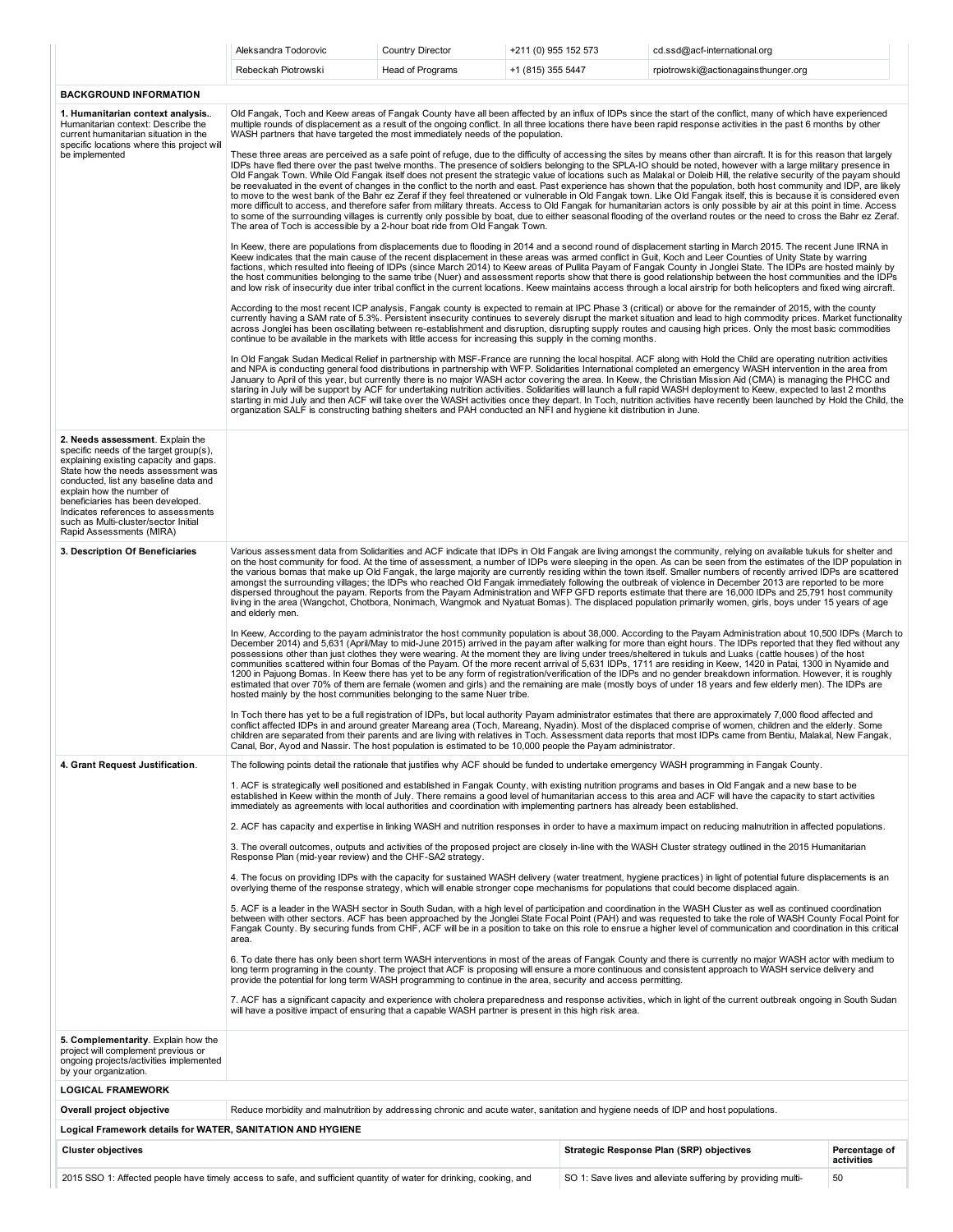|                                                                                                                                                                                                                                                                                                                                                                                  | Aleksandra Todorovic                                                                                                                                                                                                                                                                                                                                                                                                        | Country Director | +211 (0) 955 152 573 | cd.ssd@acf-international.org                                                                                                                                                                                                                                                                                                                                                                                                                                                                                                                                                                                                                                                                                                                                                                                                                                                                                                                                                                                                                                                                                                                                                                                                                                                                                                                                                                                                                                                                                                                                                                                                                                                                                                                                                                                                                                                                                                                                                                                                                                                                                                                                                                                                                                                                                                                                                                                                                                                                                                                                                                                                                                                                                                                                                                                                                                                                                                                                                                                                                                                                                                                                                                                                                                                                                                                                                                                                                                                                                                                                                                                                                                                                                                                                                              |                             |
|----------------------------------------------------------------------------------------------------------------------------------------------------------------------------------------------------------------------------------------------------------------------------------------------------------------------------------------------------------------------------------|-----------------------------------------------------------------------------------------------------------------------------------------------------------------------------------------------------------------------------------------------------------------------------------------------------------------------------------------------------------------------------------------------------------------------------|------------------|----------------------|-------------------------------------------------------------------------------------------------------------------------------------------------------------------------------------------------------------------------------------------------------------------------------------------------------------------------------------------------------------------------------------------------------------------------------------------------------------------------------------------------------------------------------------------------------------------------------------------------------------------------------------------------------------------------------------------------------------------------------------------------------------------------------------------------------------------------------------------------------------------------------------------------------------------------------------------------------------------------------------------------------------------------------------------------------------------------------------------------------------------------------------------------------------------------------------------------------------------------------------------------------------------------------------------------------------------------------------------------------------------------------------------------------------------------------------------------------------------------------------------------------------------------------------------------------------------------------------------------------------------------------------------------------------------------------------------------------------------------------------------------------------------------------------------------------------------------------------------------------------------------------------------------------------------------------------------------------------------------------------------------------------------------------------------------------------------------------------------------------------------------------------------------------------------------------------------------------------------------------------------------------------------------------------------------------------------------------------------------------------------------------------------------------------------------------------------------------------------------------------------------------------------------------------------------------------------------------------------------------------------------------------------------------------------------------------------------------------------------------------------------------------------------------------------------------------------------------------------------------------------------------------------------------------------------------------------------------------------------------------------------------------------------------------------------------------------------------------------------------------------------------------------------------------------------------------------------------------------------------------------------------------------------------------------------------------------------------------------------------------------------------------------------------------------------------------------------------------------------------------------------------------------------------------------------------------------------------------------------------------------------------------------------------------------------------------------------------------------------------------------------------------------------------------------|-----------------------------|
|                                                                                                                                                                                                                                                                                                                                                                                  | Rebeckah Piotrowski                                                                                                                                                                                                                                                                                                                                                                                                         | Head of Programs | +1 (815) 355 5447    | rpiotrowski@actionagainsthunger.org                                                                                                                                                                                                                                                                                                                                                                                                                                                                                                                                                                                                                                                                                                                                                                                                                                                                                                                                                                                                                                                                                                                                                                                                                                                                                                                                                                                                                                                                                                                                                                                                                                                                                                                                                                                                                                                                                                                                                                                                                                                                                                                                                                                                                                                                                                                                                                                                                                                                                                                                                                                                                                                                                                                                                                                                                                                                                                                                                                                                                                                                                                                                                                                                                                                                                                                                                                                                                                                                                                                                                                                                                                                                                                                                                       |                             |
| <b>BACKGROUND INFORMATION</b>                                                                                                                                                                                                                                                                                                                                                    |                                                                                                                                                                                                                                                                                                                                                                                                                             |                  |                      |                                                                                                                                                                                                                                                                                                                                                                                                                                                                                                                                                                                                                                                                                                                                                                                                                                                                                                                                                                                                                                                                                                                                                                                                                                                                                                                                                                                                                                                                                                                                                                                                                                                                                                                                                                                                                                                                                                                                                                                                                                                                                                                                                                                                                                                                                                                                                                                                                                                                                                                                                                                                                                                                                                                                                                                                                                                                                                                                                                                                                                                                                                                                                                                                                                                                                                                                                                                                                                                                                                                                                                                                                                                                                                                                                                                           |                             |
| 1. Humanitarian context analysis<br>Humanitarian context: Describe the<br>current humanitarian situation in the<br>specific locations where this project will<br>be implemented                                                                                                                                                                                                  | WASH partners that have targeted the most immediately needs of the population.<br>The area of Toch is accessible by a 2-hour boat ride from Old Fangak Town.<br>continue to be available in the markets with little access for increasing this supply in the coming months.<br>organization SALF is constructing bathing shelters and PAH conducted an NFI and hygiene kit distribution in June.                            |                  |                      | Old Fangak, Toch and Keew areas of Fangak County have all been affected by an influx of IDPs since the start of the conflict, many of which have experienced<br>multiple rounds of displacement as a result of the ongoing conflict. In all three locations there have been rapid response activities in the past 6 months by other<br>These three areas are perceived as a safe point of refuge, due to the difficulty of accessing the sites by means other than aircraft. It is for this reason that largely<br>IDPs have fled there over the past twelve months. The presence of soldiers belonging to the SPLA-IO should be noted, however with a large military presence in<br>Old Fangak Town. While Old Fangak itself does not present the strategic value of locations such as Malakal or Doleib Hill, the relative security of the payam should<br>be reevaluated in the event of changes in the conflict to the north and east. Past experience has shown that the population, both host community and IDP, are likely<br>to move to the west bank of the Bahr ez Zeraf if they feel threatened or vulnerable in Old Fangak town. Like Old Fangak itself, this is because it is considered even<br>more difficult to access, and therefore safer from military threats. Access to Old Fangak for humanitarian actors is only possible by air at this point in time. Access<br>to some of the surrounding villages is currently only possible by boat, due to either seasonal flooding of the overland routes or the need to cross the Bahr ez Zeraf.<br>In Keew, there are populations from displacements due to flooding in 2014 and a second round of displacement starting in March 2015. The recent June IRNA in<br>Keew indicates that the main cause of the recent displacement in these areas was armed conflict in Guit, Koch and Leer Counties of Unity State by warring<br>factions, which resulted into fleeing of IDPs (since March 2014) to Keew areas of Pullita Payam of Fangak County in Jonglei State. The IDPs are hosted mainly by<br>the host communities belonging to the same tribe (Nuer) and assessment reports show that there is good relationship between the host communities and the IDPs<br>and low risk of insecurity due inter tribal conflict in the current locations. Keew maintains access through a local airstrip for both helicopters and fixed wing aircraft.<br>According to the most recent ICP analysis, Fangak county is expected to remain at IPC Phase 3 (critical) or above for the remainder of 2015, with the county<br>currently having a SAM rate of 5.3%. Persistent insecurity continues to severely disrupt the market situation and lead to high commodity prices. Market functionality<br>across Jonglei has been oscillating between re-establishment and disruption, disrupting supply routes and causing high prices. Only the most basic commodities<br>In Old Fangak Sudan Medical Relief in partnership with MSF-France are running the local hospital. ACF along with Hold the Child are operating nutrition activities<br>and NPA is conducting general food distributions in partnership with WFP. Solidarities International completed an emergency WASH intervention in the area from<br>January to April of this year, but currently there is no major WASH actor covering the area. In Keew, the Christian Mission Aid (CMA) is managing the PHCC and<br>staring in July will be support by ACF for undertaking nutrition activities. Solidarities will launch a full rapid WASH deployment to Keew, expected to last 2 months<br>starting in mid July and then ACF will take over the WASH activities once they depart. In Toch, nutrition activities have recently been launched by Hold the Child, the |                             |
| 2. Needs assessment. Explain the<br>specific needs of the target group(s).<br>explaining existing capacity and gaps.<br>State how the needs assessment was<br>conducted, list any baseline data and<br>explain how the number of<br>beneficiaries has been developed.<br>Indicates references to assessments<br>such as Multi-cluster/sector Initial<br>Rapid Assessments (MIRA) |                                                                                                                                                                                                                                                                                                                                                                                                                             |                  |                      |                                                                                                                                                                                                                                                                                                                                                                                                                                                                                                                                                                                                                                                                                                                                                                                                                                                                                                                                                                                                                                                                                                                                                                                                                                                                                                                                                                                                                                                                                                                                                                                                                                                                                                                                                                                                                                                                                                                                                                                                                                                                                                                                                                                                                                                                                                                                                                                                                                                                                                                                                                                                                                                                                                                                                                                                                                                                                                                                                                                                                                                                                                                                                                                                                                                                                                                                                                                                                                                                                                                                                                                                                                                                                                                                                                                           |                             |
| 3. Description Of Beneficiaries                                                                                                                                                                                                                                                                                                                                                  | and elderly men.<br>hosted mainly by the host communities belonging to the same Nuer tribe.<br>Canaı, ʁor, Ayoɑ and Nassır. The host populatıon is estimated to be 10,000 people the Payam administrator                                                                                                                                                                                                                    |                  |                      | Various assessment data from Solidarities and ACF indicate that IDPs in Old Fangak are living amongst the community, relying on available tukuls for shelter and<br>on the host community for food. At the time of assessment, a number of IDPs were sleeping in the open. As can be seen from the estimates of the IDP population in<br>the various bomas that make up Old Fangak, the large majority are currently residing within the town itself. Smaller numbers of recently arrived IDPs are scattered<br>amongst the surrounding villages; the IDPs who reached Old Fangak immediately following the outbreak of violence in December 2013 are reported to be more<br>dispersed throughout the payam. Reports from the Payam Administration and WFP GFD reports estimate that there are 16,000 IDPs and 25,791 host community<br>living in the area (Wangchot, Chotbora, Nonimach, Wangmok and Nyatuat Bomas). The displaced population primarily women, girls, boys under 15 years of age<br>In Keew, According to the payam administrator the host community population is about 38,000. According to the Payam Administration about 10,500 IDPs (March to<br>December 2014) and 5,631 (April/May to mid-June 2015) arrived in the payam after walking for more than eight hours. The IDPs reported that they fled without any<br>possessions other than just clothes they were wearing. At the moment they are living under trees/sheltered in tukuls and Luaks (cattle houses) of the host<br>communities scattered within four Bomas of the Payam. Of the more recent arrival of 5,631 IDPs, 1711 are residing in Keew, 1420 in Patai, 1300 in Nyamide and<br>1200 in Pajuong Bomas. In Keew there has yet to be any form of registration/verification of the IDPs and no gender breakdown information. However, it is roughly<br>estimated that over 70% of them are female (women and girls) and the remaining are male (mostly boys of under 18 years and few elderly men). The IDPs are<br>In Toch there has yet to be a full registration of IDPs, but local authority Payam administrator estimates that there are approximately 7,000 flood affected and<br>conflict affected IDPs in and around greater Mareang area (Toch, Mareang, Nyadin). Most of the displaced comprise of women, children and the elderly. Some<br>children are separated from their parents and are living with relatives in Toch. Assessment data reports that most IDPs came from Bentiu, Malakal, New Fangak,                                                                                                                                                                                                                                                                                                                                                                                                                                                                                                                                                                                                                                                                                                                                                                                                                                                                                                                                                                                                                                                                                                                                                                                                                                                                               |                             |
| 4. Grant Request Justification.                                                                                                                                                                                                                                                                                                                                                  | immediately as agreements with local authorities and coordination with implementing partners has already been established.<br>Response Plan (mid-year review) and the CHF-SA2 strategy.<br>area.<br>provide the potential for long term WASH programming to continue in the area, security and access permitting.<br>will have a positive impact of ensuring that a capable WASH partner is present in this high risk area. |                  |                      | The following points detail the rationale that justifies why ACF should be funded to undertake emergency WASH programming in Fangak County.<br>1. ACF is strategically well positioned and established in Fangak County, with existing nutrition programs and bases in Old Fangak and a new base to be<br>established in Keew within the month of July. There remains a good level of humanitarian access to this area and ACF will have the capacity to start activities<br>2. ACF has capacity and expertise in linking WASH and nutrition responses in order to have a maximum impact on reducing malnutrition in affected populations.<br>3. The overall outcomes, outputs and activities of the proposed project are closely in-line with the WASH Cluster strategy outlined in the 2015 Humanitarian<br>4. The focus on providing IDPs with the capacity for sustained WASH delivery (water treatment, hygiene practices) in light of potential future displacements is an<br>overlying theme of the response strategy, which will enable stronger cope mechanisms for populations that could become displaced again.<br>5. ACF is a leader in the WASH sector in South Sudan, with a high level of participation and coordination in the WASH Cluster as well as continued coordination<br>between with other sectors. ACF has been approached by the Jonglei State Focal Point (PAH) and was requested to take the role of WASH County Focal Point for<br>Fangak County. By securing funds from CHF, ACF will be in a position to take on this role to ensrue a higher level of communication and coordination in this critical<br>6. To date there has only been short term WASH interventions in most of the areas of Fangak County and there is currently no major WASH actor with medium to<br>long term programing in the county. The project that ACF is proposing will ensure a more continuous and consistent approach to WASH service delivery and<br>7. ACF has a significant capacity and experience with cholera preparedness and response activities, which in light of the current outbreak ongoing in South Sudan                                                                                                                                                                                                                                                                                                                                                                                                                                                                                                                                                                                                                                                                                                                                                                                                                                                                                                                                                                                                                                                                                                                                                                                                                                                                                                                                                                                                                                                                                                                                                                                                                                                  |                             |
| 5. Complementarity. Explain how the<br>project will complement previous or<br>ongoing projects/activities implemented<br>by your organization.                                                                                                                                                                                                                                   |                                                                                                                                                                                                                                                                                                                                                                                                                             |                  |                      |                                                                                                                                                                                                                                                                                                                                                                                                                                                                                                                                                                                                                                                                                                                                                                                                                                                                                                                                                                                                                                                                                                                                                                                                                                                                                                                                                                                                                                                                                                                                                                                                                                                                                                                                                                                                                                                                                                                                                                                                                                                                                                                                                                                                                                                                                                                                                                                                                                                                                                                                                                                                                                                                                                                                                                                                                                                                                                                                                                                                                                                                                                                                                                                                                                                                                                                                                                                                                                                                                                                                                                                                                                                                                                                                                                                           |                             |
| <b>LOGICAL FRAMEWORK</b>                                                                                                                                                                                                                                                                                                                                                         |                                                                                                                                                                                                                                                                                                                                                                                                                             |                  |                      |                                                                                                                                                                                                                                                                                                                                                                                                                                                                                                                                                                                                                                                                                                                                                                                                                                                                                                                                                                                                                                                                                                                                                                                                                                                                                                                                                                                                                                                                                                                                                                                                                                                                                                                                                                                                                                                                                                                                                                                                                                                                                                                                                                                                                                                                                                                                                                                                                                                                                                                                                                                                                                                                                                                                                                                                                                                                                                                                                                                                                                                                                                                                                                                                                                                                                                                                                                                                                                                                                                                                                                                                                                                                                                                                                                                           |                             |
| Overall project objective                                                                                                                                                                                                                                                                                                                                                        | Reduce morbidity and malnutrition by addressing chronic and acute water, sanitation and hygiene needs of IDP and host populations.                                                                                                                                                                                                                                                                                          |                  |                      |                                                                                                                                                                                                                                                                                                                                                                                                                                                                                                                                                                                                                                                                                                                                                                                                                                                                                                                                                                                                                                                                                                                                                                                                                                                                                                                                                                                                                                                                                                                                                                                                                                                                                                                                                                                                                                                                                                                                                                                                                                                                                                                                                                                                                                                                                                                                                                                                                                                                                                                                                                                                                                                                                                                                                                                                                                                                                                                                                                                                                                                                                                                                                                                                                                                                                                                                                                                                                                                                                                                                                                                                                                                                                                                                                                                           |                             |
| Logical Framework details for WATER, SANITATION AND HYGIENE                                                                                                                                                                                                                                                                                                                      |                                                                                                                                                                                                                                                                                                                                                                                                                             |                  |                      |                                                                                                                                                                                                                                                                                                                                                                                                                                                                                                                                                                                                                                                                                                                                                                                                                                                                                                                                                                                                                                                                                                                                                                                                                                                                                                                                                                                                                                                                                                                                                                                                                                                                                                                                                                                                                                                                                                                                                                                                                                                                                                                                                                                                                                                                                                                                                                                                                                                                                                                                                                                                                                                                                                                                                                                                                                                                                                                                                                                                                                                                                                                                                                                                                                                                                                                                                                                                                                                                                                                                                                                                                                                                                                                                                                                           |                             |
| <b>Cluster objectives</b>                                                                                                                                                                                                                                                                                                                                                        |                                                                                                                                                                                                                                                                                                                                                                                                                             |                  |                      | <b>Strategic Response Plan (SRP) objectives</b>                                                                                                                                                                                                                                                                                                                                                                                                                                                                                                                                                                                                                                                                                                                                                                                                                                                                                                                                                                                                                                                                                                                                                                                                                                                                                                                                                                                                                                                                                                                                                                                                                                                                                                                                                                                                                                                                                                                                                                                                                                                                                                                                                                                                                                                                                                                                                                                                                                                                                                                                                                                                                                                                                                                                                                                                                                                                                                                                                                                                                                                                                                                                                                                                                                                                                                                                                                                                                                                                                                                                                                                                                                                                                                                                           | Percentage of<br>activities |
| 2015 SSO 1: Affected people have timely access to safe, and sufficient quantity of water for drinking, cooking, and                                                                                                                                                                                                                                                              |                                                                                                                                                                                                                                                                                                                                                                                                                             |                  |                      | SO 1: Save lives and alleviate suffering by providing multi-                                                                                                                                                                                                                                                                                                                                                                                                                                                                                                                                                                                                                                                                                                                                                                                                                                                                                                                                                                                                                                                                                                                                                                                                                                                                                                                                                                                                                                                                                                                                                                                                                                                                                                                                                                                                                                                                                                                                                                                                                                                                                                                                                                                                                                                                                                                                                                                                                                                                                                                                                                                                                                                                                                                                                                                                                                                                                                                                                                                                                                                                                                                                                                                                                                                                                                                                                                                                                                                                                                                                                                                                                                                                                                                              | 50                          |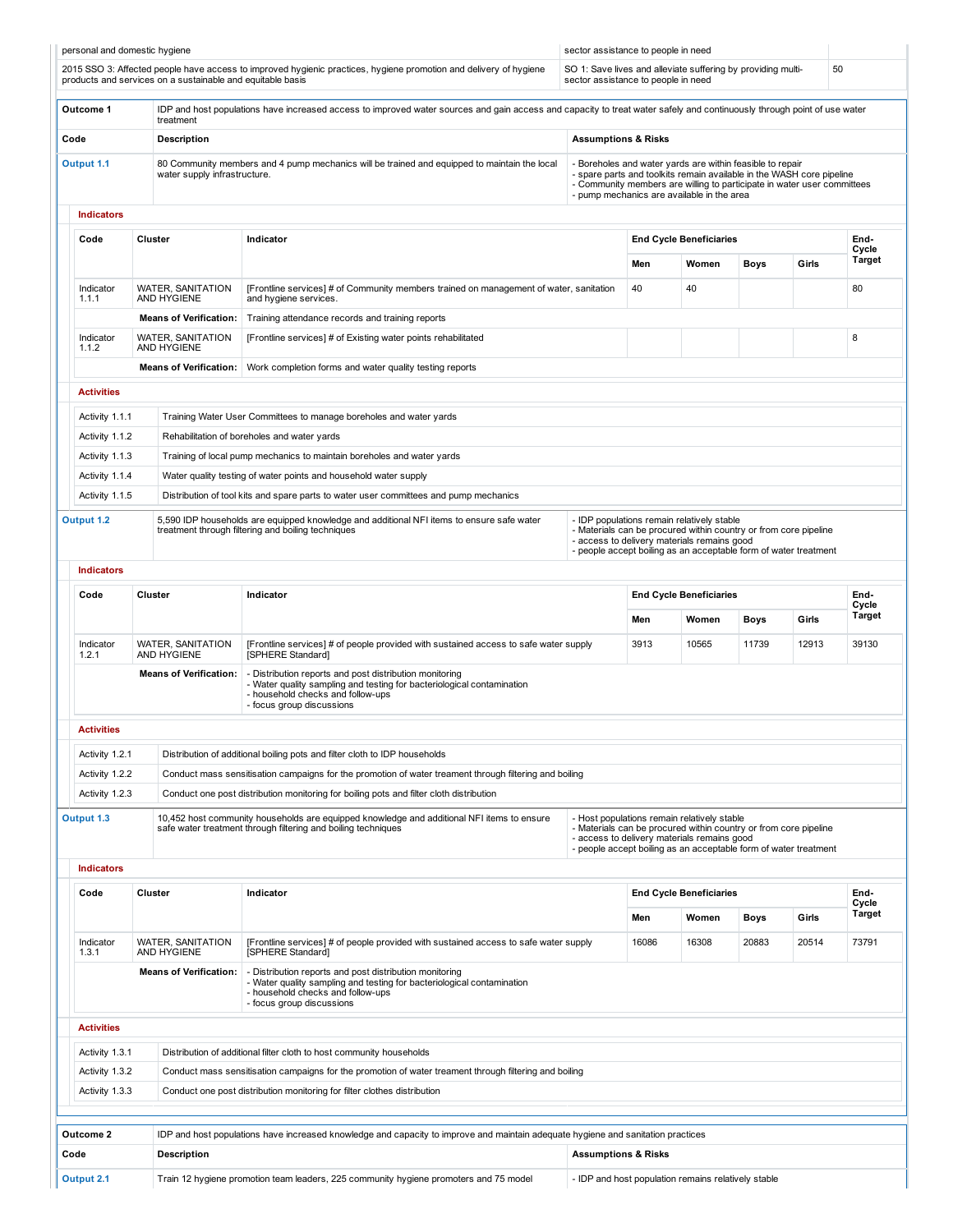| personal and domestic hygiene           |                                                                                                                                                                                                     |                                                                                                                                                                                                                                                                                                                                                                                                                                                                                                                                                                                                                                                                                                                                                                                                                                                                                                                                                                                                                                                                                                                                                                                                                                                                                                                                                                                                    |                                                                                                                                                                                                                                                                                                                                                                                                                                                                                            |                                         |                                                                                     |                                                                                                                                                                                                                                                                                                                                                      |                                                                                                                                                                                                                                                                                                                                                                                                                                                                                                                                                                                                                                                                                                                                                   |
|-----------------------------------------|-----------------------------------------------------------------------------------------------------------------------------------------------------------------------------------------------------|----------------------------------------------------------------------------------------------------------------------------------------------------------------------------------------------------------------------------------------------------------------------------------------------------------------------------------------------------------------------------------------------------------------------------------------------------------------------------------------------------------------------------------------------------------------------------------------------------------------------------------------------------------------------------------------------------------------------------------------------------------------------------------------------------------------------------------------------------------------------------------------------------------------------------------------------------------------------------------------------------------------------------------------------------------------------------------------------------------------------------------------------------------------------------------------------------------------------------------------------------------------------------------------------------------------------------------------------------------------------------------------------------|--------------------------------------------------------------------------------------------------------------------------------------------------------------------------------------------------------------------------------------------------------------------------------------------------------------------------------------------------------------------------------------------------------------------------------------------------------------------------------------------|-----------------------------------------|-------------------------------------------------------------------------------------|------------------------------------------------------------------------------------------------------------------------------------------------------------------------------------------------------------------------------------------------------------------------------------------------------------------------------------------------------|---------------------------------------------------------------------------------------------------------------------------------------------------------------------------------------------------------------------------------------------------------------------------------------------------------------------------------------------------------------------------------------------------------------------------------------------------------------------------------------------------------------------------------------------------------------------------------------------------------------------------------------------------------------------------------------------------------------------------------------------------|
|                                         |                                                                                                                                                                                                     |                                                                                                                                                                                                                                                                                                                                                                                                                                                                                                                                                                                                                                                                                                                                                                                                                                                                                                                                                                                                                                                                                                                                                                                                                                                                                                                                                                                                    |                                                                                                                                                                                                                                                                                                                                                                                                                                                                                            |                                         |                                                                                     |                                                                                                                                                                                                                                                                                                                                                      | 50                                                                                                                                                                                                                                                                                                                                                                                                                                                                                                                                                                                                                                                                                                                                                |
|                                         |                                                                                                                                                                                                     |                                                                                                                                                                                                                                                                                                                                                                                                                                                                                                                                                                                                                                                                                                                                                                                                                                                                                                                                                                                                                                                                                                                                                                                                                                                                                                                                                                                                    |                                                                                                                                                                                                                                                                                                                                                                                                                                                                                            |                                         |                                                                                     |                                                                                                                                                                                                                                                                                                                                                      |                                                                                                                                                                                                                                                                                                                                                                                                                                                                                                                                                                                                                                                                                                                                                   |
| <b>Description</b>                      |                                                                                                                                                                                                     |                                                                                                                                                                                                                                                                                                                                                                                                                                                                                                                                                                                                                                                                                                                                                                                                                                                                                                                                                                                                                                                                                                                                                                                                                                                                                                                                                                                                    |                                                                                                                                                                                                                                                                                                                                                                                                                                                                                            |                                         |                                                                                     |                                                                                                                                                                                                                                                                                                                                                      |                                                                                                                                                                                                                                                                                                                                                                                                                                                                                                                                                                                                                                                                                                                                                   |
|                                         |                                                                                                                                                                                                     |                                                                                                                                                                                                                                                                                                                                                                                                                                                                                                                                                                                                                                                                                                                                                                                                                                                                                                                                                                                                                                                                                                                                                                                                                                                                                                                                                                                                    |                                                                                                                                                                                                                                                                                                                                                                                                                                                                                            |                                         |                                                                                     |                                                                                                                                                                                                                                                                                                                                                      |                                                                                                                                                                                                                                                                                                                                                                                                                                                                                                                                                                                                                                                                                                                                                   |
|                                         |                                                                                                                                                                                                     |                                                                                                                                                                                                                                                                                                                                                                                                                                                                                                                                                                                                                                                                                                                                                                                                                                                                                                                                                                                                                                                                                                                                                                                                                                                                                                                                                                                                    |                                                                                                                                                                                                                                                                                                                                                                                                                                                                                            |                                         |                                                                                     |                                                                                                                                                                                                                                                                                                                                                      |                                                                                                                                                                                                                                                                                                                                                                                                                                                                                                                                                                                                                                                                                                                                                   |
|                                         |                                                                                                                                                                                                     |                                                                                                                                                                                                                                                                                                                                                                                                                                                                                                                                                                                                                                                                                                                                                                                                                                                                                                                                                                                                                                                                                                                                                                                                                                                                                                                                                                                                    |                                                                                                                                                                                                                                                                                                                                                                                                                                                                                            |                                         |                                                                                     |                                                                                                                                                                                                                                                                                                                                                      | End-                                                                                                                                                                                                                                                                                                                                                                                                                                                                                                                                                                                                                                                                                                                                              |
|                                         |                                                                                                                                                                                                     |                                                                                                                                                                                                                                                                                                                                                                                                                                                                                                                                                                                                                                                                                                                                                                                                                                                                                                                                                                                                                                                                                                                                                                                                                                                                                                                                                                                                    | Men                                                                                                                                                                                                                                                                                                                                                                                                                                                                                        | Women                                   | <b>Boys</b>                                                                         | Girls                                                                                                                                                                                                                                                                                                                                                | Cycle<br>Target                                                                                                                                                                                                                                                                                                                                                                                                                                                                                                                                                                                                                                                                                                                                   |
| <b>WATER, SANITATION</b><br>AND HYGIENE | and hygiene services.                                                                                                                                                                               |                                                                                                                                                                                                                                                                                                                                                                                                                                                                                                                                                                                                                                                                                                                                                                                                                                                                                                                                                                                                                                                                                                                                                                                                                                                                                                                                                                                                    | 40                                                                                                                                                                                                                                                                                                                                                                                                                                                                                         | 40                                      |                                                                                     |                                                                                                                                                                                                                                                                                                                                                      | 80                                                                                                                                                                                                                                                                                                                                                                                                                                                                                                                                                                                                                                                                                                                                                |
| <b>Means of Verification:</b>           | Training attendance records and training reports                                                                                                                                                    |                                                                                                                                                                                                                                                                                                                                                                                                                                                                                                                                                                                                                                                                                                                                                                                                                                                                                                                                                                                                                                                                                                                                                                                                                                                                                                                                                                                                    |                                                                                                                                                                                                                                                                                                                                                                                                                                                                                            |                                         |                                                                                     |                                                                                                                                                                                                                                                                                                                                                      |                                                                                                                                                                                                                                                                                                                                                                                                                                                                                                                                                                                                                                                                                                                                                   |
| WATER, SANITATION<br>AND HYGIENE        | [Frontline services] # of Existing water points rehabilitated                                                                                                                                       |                                                                                                                                                                                                                                                                                                                                                                                                                                                                                                                                                                                                                                                                                                                                                                                                                                                                                                                                                                                                                                                                                                                                                                                                                                                                                                                                                                                                    |                                                                                                                                                                                                                                                                                                                                                                                                                                                                                            |                                         |                                                                                     |                                                                                                                                                                                                                                                                                                                                                      | 8                                                                                                                                                                                                                                                                                                                                                                                                                                                                                                                                                                                                                                                                                                                                                 |
| <b>Means of Verification:</b>           | Work completion forms and water quality testing reports                                                                                                                                             |                                                                                                                                                                                                                                                                                                                                                                                                                                                                                                                                                                                                                                                                                                                                                                                                                                                                                                                                                                                                                                                                                                                                                                                                                                                                                                                                                                                                    |                                                                                                                                                                                                                                                                                                                                                                                                                                                                                            |                                         |                                                                                     |                                                                                                                                                                                                                                                                                                                                                      |                                                                                                                                                                                                                                                                                                                                                                                                                                                                                                                                                                                                                                                                                                                                                   |
|                                         |                                                                                                                                                                                                     |                                                                                                                                                                                                                                                                                                                                                                                                                                                                                                                                                                                                                                                                                                                                                                                                                                                                                                                                                                                                                                                                                                                                                                                                                                                                                                                                                                                                    |                                                                                                                                                                                                                                                                                                                                                                                                                                                                                            |                                         |                                                                                     |                                                                                                                                                                                                                                                                                                                                                      |                                                                                                                                                                                                                                                                                                                                                                                                                                                                                                                                                                                                                                                                                                                                                   |
| Activity 1.1.1                          |                                                                                                                                                                                                     |                                                                                                                                                                                                                                                                                                                                                                                                                                                                                                                                                                                                                                                                                                                                                                                                                                                                                                                                                                                                                                                                                                                                                                                                                                                                                                                                                                                                    |                                                                                                                                                                                                                                                                                                                                                                                                                                                                                            |                                         |                                                                                     |                                                                                                                                                                                                                                                                                                                                                      |                                                                                                                                                                                                                                                                                                                                                                                                                                                                                                                                                                                                                                                                                                                                                   |
| Activity 1.1.2                          |                                                                                                                                                                                                     |                                                                                                                                                                                                                                                                                                                                                                                                                                                                                                                                                                                                                                                                                                                                                                                                                                                                                                                                                                                                                                                                                                                                                                                                                                                                                                                                                                                                    |                                                                                                                                                                                                                                                                                                                                                                                                                                                                                            |                                         |                                                                                     |                                                                                                                                                                                                                                                                                                                                                      |                                                                                                                                                                                                                                                                                                                                                                                                                                                                                                                                                                                                                                                                                                                                                   |
| Activity 1.1.3                          |                                                                                                                                                                                                     |                                                                                                                                                                                                                                                                                                                                                                                                                                                                                                                                                                                                                                                                                                                                                                                                                                                                                                                                                                                                                                                                                                                                                                                                                                                                                                                                                                                                    |                                                                                                                                                                                                                                                                                                                                                                                                                                                                                            |                                         |                                                                                     |                                                                                                                                                                                                                                                                                                                                                      |                                                                                                                                                                                                                                                                                                                                                                                                                                                                                                                                                                                                                                                                                                                                                   |
| Activity 1.1.4                          |                                                                                                                                                                                                     |                                                                                                                                                                                                                                                                                                                                                                                                                                                                                                                                                                                                                                                                                                                                                                                                                                                                                                                                                                                                                                                                                                                                                                                                                                                                                                                                                                                                    |                                                                                                                                                                                                                                                                                                                                                                                                                                                                                            |                                         |                                                                                     |                                                                                                                                                                                                                                                                                                                                                      |                                                                                                                                                                                                                                                                                                                                                                                                                                                                                                                                                                                                                                                                                                                                                   |
| Activity 1.1.5                          |                                                                                                                                                                                                     |                                                                                                                                                                                                                                                                                                                                                                                                                                                                                                                                                                                                                                                                                                                                                                                                                                                                                                                                                                                                                                                                                                                                                                                                                                                                                                                                                                                                    |                                                                                                                                                                                                                                                                                                                                                                                                                                                                                            |                                         |                                                                                     |                                                                                                                                                                                                                                                                                                                                                      |                                                                                                                                                                                                                                                                                                                                                                                                                                                                                                                                                                                                                                                                                                                                                   |
|                                         |                                                                                                                                                                                                     |                                                                                                                                                                                                                                                                                                                                                                                                                                                                                                                                                                                                                                                                                                                                                                                                                                                                                                                                                                                                                                                                                                                                                                                                                                                                                                                                                                                                    |                                                                                                                                                                                                                                                                                                                                                                                                                                                                                            |                                         |                                                                                     |                                                                                                                                                                                                                                                                                                                                                      |                                                                                                                                                                                                                                                                                                                                                                                                                                                                                                                                                                                                                                                                                                                                                   |
|                                         |                                                                                                                                                                                                     |                                                                                                                                                                                                                                                                                                                                                                                                                                                                                                                                                                                                                                                                                                                                                                                                                                                                                                                                                                                                                                                                                                                                                                                                                                                                                                                                                                                                    |                                                                                                                                                                                                                                                                                                                                                                                                                                                                                            |                                         |                                                                                     |                                                                                                                                                                                                                                                                                                                                                      |                                                                                                                                                                                                                                                                                                                                                                                                                                                                                                                                                                                                                                                                                                                                                   |
| Cluster                                 | Indicator                                                                                                                                                                                           |                                                                                                                                                                                                                                                                                                                                                                                                                                                                                                                                                                                                                                                                                                                                                                                                                                                                                                                                                                                                                                                                                                                                                                                                                                                                                                                                                                                                    |                                                                                                                                                                                                                                                                                                                                                                                                                                                                                            |                                         |                                                                                     |                                                                                                                                                                                                                                                                                                                                                      | End-<br>Cycle                                                                                                                                                                                                                                                                                                                                                                                                                                                                                                                                                                                                                                                                                                                                     |
|                                         |                                                                                                                                                                                                     |                                                                                                                                                                                                                                                                                                                                                                                                                                                                                                                                                                                                                                                                                                                                                                                                                                                                                                                                                                                                                                                                                                                                                                                                                                                                                                                                                                                                    | Men                                                                                                                                                                                                                                                                                                                                                                                                                                                                                        | Women                                   | <b>Boys</b>                                                                         | Girls                                                                                                                                                                                                                                                                                                                                                | <b>Target</b>                                                                                                                                                                                                                                                                                                                                                                                                                                                                                                                                                                                                                                                                                                                                     |
| WATER, SANITATION<br><b>AND HYGIENE</b> | [SPHERE Standard]                                                                                                                                                                                   |                                                                                                                                                                                                                                                                                                                                                                                                                                                                                                                                                                                                                                                                                                                                                                                                                                                                                                                                                                                                                                                                                                                                                                                                                                                                                                                                                                                                    | 3913                                                                                                                                                                                                                                                                                                                                                                                                                                                                                       | 10565                                   | 11739                                                                               | 12913                                                                                                                                                                                                                                                                                                                                                | 39130                                                                                                                                                                                                                                                                                                                                                                                                                                                                                                                                                                                                                                                                                                                                             |
| <b>Means of Verification:</b>           | - Distribution reports and post distribution monitoring<br>- Water quality sampling and testing for bacteriological contamination<br>- household checks and follow-ups<br>- focus group discussions |                                                                                                                                                                                                                                                                                                                                                                                                                                                                                                                                                                                                                                                                                                                                                                                                                                                                                                                                                                                                                                                                                                                                                                                                                                                                                                                                                                                                    |                                                                                                                                                                                                                                                                                                                                                                                                                                                                                            |                                         |                                                                                     |                                                                                                                                                                                                                                                                                                                                                      |                                                                                                                                                                                                                                                                                                                                                                                                                                                                                                                                                                                                                                                                                                                                                   |
|                                         |                                                                                                                                                                                                     |                                                                                                                                                                                                                                                                                                                                                                                                                                                                                                                                                                                                                                                                                                                                                                                                                                                                                                                                                                                                                                                                                                                                                                                                                                                                                                                                                                                                    |                                                                                                                                                                                                                                                                                                                                                                                                                                                                                            |                                         |                                                                                     |                                                                                                                                                                                                                                                                                                                                                      |                                                                                                                                                                                                                                                                                                                                                                                                                                                                                                                                                                                                                                                                                                                                                   |
| Activity 1.2.1                          |                                                                                                                                                                                                     |                                                                                                                                                                                                                                                                                                                                                                                                                                                                                                                                                                                                                                                                                                                                                                                                                                                                                                                                                                                                                                                                                                                                                                                                                                                                                                                                                                                                    |                                                                                                                                                                                                                                                                                                                                                                                                                                                                                            |                                         |                                                                                     |                                                                                                                                                                                                                                                                                                                                                      |                                                                                                                                                                                                                                                                                                                                                                                                                                                                                                                                                                                                                                                                                                                                                   |
| Activity 1.2.2                          |                                                                                                                                                                                                     |                                                                                                                                                                                                                                                                                                                                                                                                                                                                                                                                                                                                                                                                                                                                                                                                                                                                                                                                                                                                                                                                                                                                                                                                                                                                                                                                                                                                    |                                                                                                                                                                                                                                                                                                                                                                                                                                                                                            |                                         |                                                                                     |                                                                                                                                                                                                                                                                                                                                                      |                                                                                                                                                                                                                                                                                                                                                                                                                                                                                                                                                                                                                                                                                                                                                   |
| Activity 1.2.3                          |                                                                                                                                                                                                     |                                                                                                                                                                                                                                                                                                                                                                                                                                                                                                                                                                                                                                                                                                                                                                                                                                                                                                                                                                                                                                                                                                                                                                                                                                                                                                                                                                                                    |                                                                                                                                                                                                                                                                                                                                                                                                                                                                                            |                                         |                                                                                     |                                                                                                                                                                                                                                                                                                                                                      |                                                                                                                                                                                                                                                                                                                                                                                                                                                                                                                                                                                                                                                                                                                                                   |
|                                         |                                                                                                                                                                                                     |                                                                                                                                                                                                                                                                                                                                                                                                                                                                                                                                                                                                                                                                                                                                                                                                                                                                                                                                                                                                                                                                                                                                                                                                                                                                                                                                                                                                    |                                                                                                                                                                                                                                                                                                                                                                                                                                                                                            |                                         |                                                                                     |                                                                                                                                                                                                                                                                                                                                                      |                                                                                                                                                                                                                                                                                                                                                                                                                                                                                                                                                                                                                                                                                                                                                   |
|                                         |                                                                                                                                                                                                     |                                                                                                                                                                                                                                                                                                                                                                                                                                                                                                                                                                                                                                                                                                                                                                                                                                                                                                                                                                                                                                                                                                                                                                                                                                                                                                                                                                                                    |                                                                                                                                                                                                                                                                                                                                                                                                                                                                                            |                                         |                                                                                     |                                                                                                                                                                                                                                                                                                                                                      |                                                                                                                                                                                                                                                                                                                                                                                                                                                                                                                                                                                                                                                                                                                                                   |
| Cluster                                 | Indicator                                                                                                                                                                                           |                                                                                                                                                                                                                                                                                                                                                                                                                                                                                                                                                                                                                                                                                                                                                                                                                                                                                                                                                                                                                                                                                                                                                                                                                                                                                                                                                                                                    |                                                                                                                                                                                                                                                                                                                                                                                                                                                                                            |                                         |                                                                                     |                                                                                                                                                                                                                                                                                                                                                      | End-<br>Cycle                                                                                                                                                                                                                                                                                                                                                                                                                                                                                                                                                                                                                                                                                                                                     |
|                                         |                                                                                                                                                                                                     |                                                                                                                                                                                                                                                                                                                                                                                                                                                                                                                                                                                                                                                                                                                                                                                                                                                                                                                                                                                                                                                                                                                                                                                                                                                                                                                                                                                                    | Men                                                                                                                                                                                                                                                                                                                                                                                                                                                                                        | Women                                   | <b>Boys</b>                                                                         | Girls                                                                                                                                                                                                                                                                                                                                                | Target                                                                                                                                                                                                                                                                                                                                                                                                                                                                                                                                                                                                                                                                                                                                            |
| AND HYGIENE                             | [SPHERE Standard]                                                                                                                                                                                   |                                                                                                                                                                                                                                                                                                                                                                                                                                                                                                                                                                                                                                                                                                                                                                                                                                                                                                                                                                                                                                                                                                                                                                                                                                                                                                                                                                                                    |                                                                                                                                                                                                                                                                                                                                                                                                                                                                                            |                                         |                                                                                     |                                                                                                                                                                                                                                                                                                                                                      | 73791                                                                                                                                                                                                                                                                                                                                                                                                                                                                                                                                                                                                                                                                                                                                             |
|                                         | - Water quality sampling and testing for bacteriological contamination<br>- household checks and follow-ups<br>- focus group discussions                                                            |                                                                                                                                                                                                                                                                                                                                                                                                                                                                                                                                                                                                                                                                                                                                                                                                                                                                                                                                                                                                                                                                                                                                                                                                                                                                                                                                                                                                    |                                                                                                                                                                                                                                                                                                                                                                                                                                                                                            |                                         |                                                                                     |                                                                                                                                                                                                                                                                                                                                                      |                                                                                                                                                                                                                                                                                                                                                                                                                                                                                                                                                                                                                                                                                                                                                   |
|                                         |                                                                                                                                                                                                     |                                                                                                                                                                                                                                                                                                                                                                                                                                                                                                                                                                                                                                                                                                                                                                                                                                                                                                                                                                                                                                                                                                                                                                                                                                                                                                                                                                                                    |                                                                                                                                                                                                                                                                                                                                                                                                                                                                                            |                                         |                                                                                     |                                                                                                                                                                                                                                                                                                                                                      |                                                                                                                                                                                                                                                                                                                                                                                                                                                                                                                                                                                                                                                                                                                                                   |
| Activity 1.3.1                          |                                                                                                                                                                                                     |                                                                                                                                                                                                                                                                                                                                                                                                                                                                                                                                                                                                                                                                                                                                                                                                                                                                                                                                                                                                                                                                                                                                                                                                                                                                                                                                                                                                    |                                                                                                                                                                                                                                                                                                                                                                                                                                                                                            |                                         |                                                                                     |                                                                                                                                                                                                                                                                                                                                                      |                                                                                                                                                                                                                                                                                                                                                                                                                                                                                                                                                                                                                                                                                                                                                   |
| Activity 1.3.2                          |                                                                                                                                                                                                     |                                                                                                                                                                                                                                                                                                                                                                                                                                                                                                                                                                                                                                                                                                                                                                                                                                                                                                                                                                                                                                                                                                                                                                                                                                                                                                                                                                                                    |                                                                                                                                                                                                                                                                                                                                                                                                                                                                                            |                                         |                                                                                     |                                                                                                                                                                                                                                                                                                                                                      |                                                                                                                                                                                                                                                                                                                                                                                                                                                                                                                                                                                                                                                                                                                                                   |
| Activity 1.3.3                          |                                                                                                                                                                                                     |                                                                                                                                                                                                                                                                                                                                                                                                                                                                                                                                                                                                                                                                                                                                                                                                                                                                                                                                                                                                                                                                                                                                                                                                                                                                                                                                                                                                    |                                                                                                                                                                                                                                                                                                                                                                                                                                                                                            |                                         |                                                                                     |                                                                                                                                                                                                                                                                                                                                                      |                                                                                                                                                                                                                                                                                                                                                                                                                                                                                                                                                                                                                                                                                                                                                   |
|                                         |                                                                                                                                                                                                     |                                                                                                                                                                                                                                                                                                                                                                                                                                                                                                                                                                                                                                                                                                                                                                                                                                                                                                                                                                                                                                                                                                                                                                                                                                                                                                                                                                                                    |                                                                                                                                                                                                                                                                                                                                                                                                                                                                                            |                                         |                                                                                     |                                                                                                                                                                                                                                                                                                                                                      |                                                                                                                                                                                                                                                                                                                                                                                                                                                                                                                                                                                                                                                                                                                                                   |
|                                         |                                                                                                                                                                                                     |                                                                                                                                                                                                                                                                                                                                                                                                                                                                                                                                                                                                                                                                                                                                                                                                                                                                                                                                                                                                                                                                                                                                                                                                                                                                                                                                                                                                    |                                                                                                                                                                                                                                                                                                                                                                                                                                                                                            |                                         |                                                                                     |                                                                                                                                                                                                                                                                                                                                                      |                                                                                                                                                                                                                                                                                                                                                                                                                                                                                                                                                                                                                                                                                                                                                   |
|                                         | IDP and host populations have increased knowledge and capacity to improve and maintain adequate hygiene and sanitation practices                                                                    |                                                                                                                                                                                                                                                                                                                                                                                                                                                                                                                                                                                                                                                                                                                                                                                                                                                                                                                                                                                                                                                                                                                                                                                                                                                                                                                                                                                                    |                                                                                                                                                                                                                                                                                                                                                                                                                                                                                            |                                         |                                                                                     |                                                                                                                                                                                                                                                                                                                                                      |                                                                                                                                                                                                                                                                                                                                                                                                                                                                                                                                                                                                                                                                                                                                                   |
| <b>Description</b>                      |                                                                                                                                                                                                     |                                                                                                                                                                                                                                                                                                                                                                                                                                                                                                                                                                                                                                                                                                                                                                                                                                                                                                                                                                                                                                                                                                                                                                                                                                                                                                                                                                                                    | <b>Assumptions &amp; Risks</b>                                                                                                                                                                                                                                                                                                                                                                                                                                                             |                                         |                                                                                     |                                                                                                                                                                                                                                                                                                                                                      |                                                                                                                                                                                                                                                                                                                                                                                                                                                                                                                                                                                                                                                                                                                                                   |
|                                         | treatment<br>Cluster<br><b>WATER, SANITATION</b><br><b>Means of Verification:</b>                                                                                                                   | 2015 SSO 3: Affected people have access to improved hygienic practices, hygiene promotion and delivery of hygiene<br>products and services on a sustainable and equitable basis<br>80 Community members and 4 pump mechanics will be trained and equipped to maintain the local<br>water supply infrastructure.<br>Indicator<br>Training Water User Committees to manage boreholes and water yards<br>Rehabilitation of boreholes and water yards<br>Training of local pump mechanics to maintain boreholes and water yards<br>Water quality testing of water points and household water supply<br>Distribution of tool kits and spare parts to water user committees and pump mechanics<br>5,590 IDP households are equipped knowledge and additional NFI items to ensure safe water<br>treatment through filtering and boiling techniques<br>Distribution of additional boiling pots and filter cloth to IDP households<br>Conduct one post distribution monitoring for boiling pots and filter cloth distribution<br>10,452 host community households are equipped knowledge and additional NFI items to ensure<br>safe water treatment through filtering and boiling techniques<br>- Distribution reports and post distribution monitoring<br>Distribution of additional filter cloth to host community households<br>Conduct one post distribution monitoring for filter clothes distribution | [Frontline services] # of Community members trained on management of water, sanitation<br>[Frontline services] # of people provided with sustained access to safe water supply<br>Conduct mass sensitisation campaigns for the promotion of water treament through filtering and boiling<br>[Frontline services] # of people provided with sustained access to safe water supply<br>Conduct mass sensitisation campaigns for the promotion of water treament through filtering and boiling | <b>Assumptions &amp; Risks</b><br>16086 | sector assistance to people in need<br>sector assistance to people in need<br>16308 | - pump mechanics are available in the area<br><b>End Cycle Beneficiaries</b><br>- IDP populations remain relatively stable<br>- access to delivery materials remains good<br><b>End Cycle Beneficiaries</b><br>- Host populations remain relatively stable<br>- access to delivery materials remains good<br><b>End Cycle Beneficiaries</b><br>20883 | SO 1: Save lives and alleviate suffering by providing multi-<br>IDP and host populations have increased access to improved water sources and gain access and capacity to treat water safely and continuously through point of use water<br>- Boreholes and water yards are within feasible to repair<br>- spare parts and toolkits remain available in the WASH core pipeline<br>- Community members are willing to participate in water user committees<br>- Materials can be procured within country or from core pipeline<br>- people accept boiling as an acceptable form of water treatment<br>- Materials can be procured within country or from core pipeline<br>- people accept boiling as an acceptable form of water treatment<br>20514 |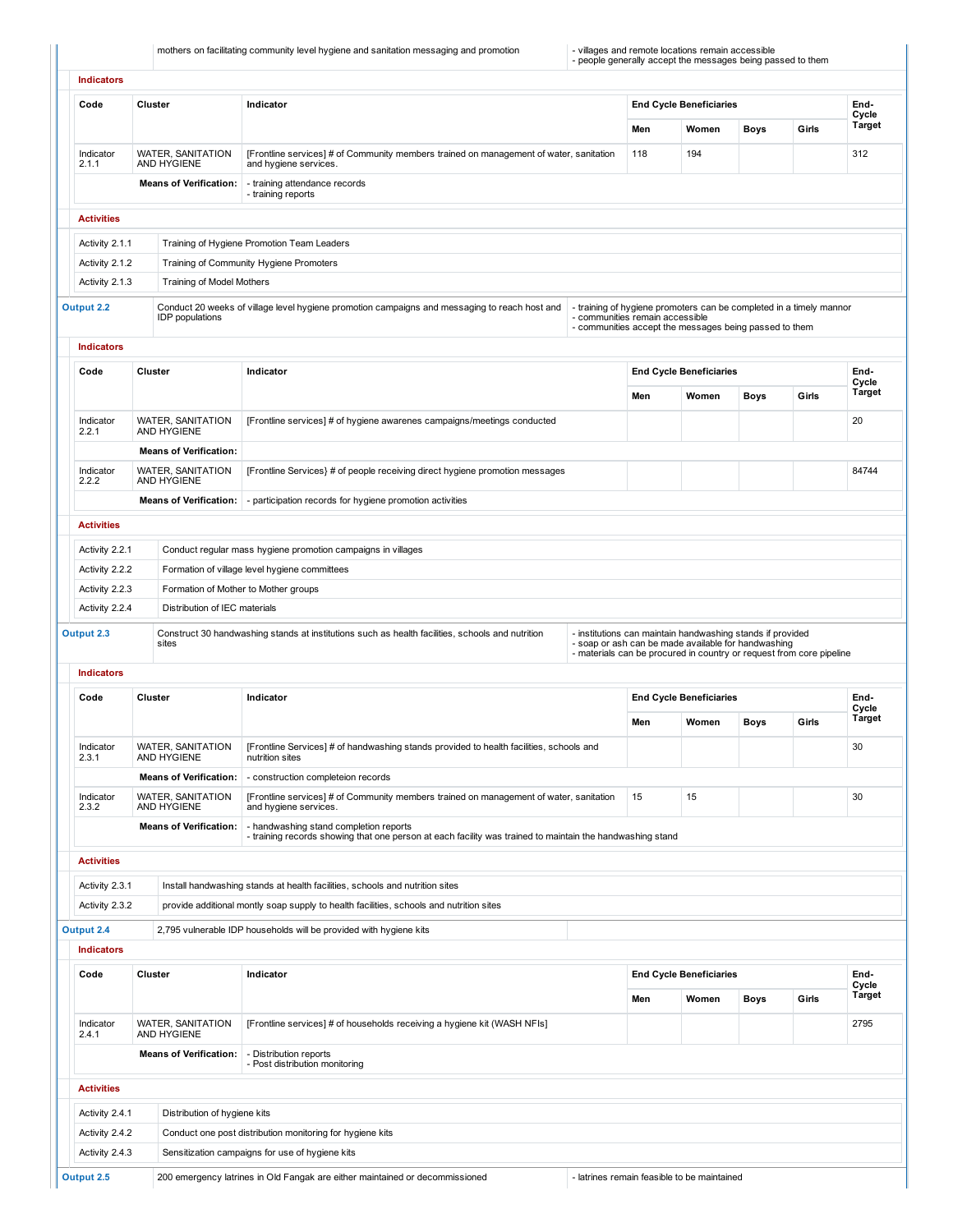| Indicator<br>2.1.1<br><b>Activities</b><br>Activity 2.1.1<br>Activity 2.1.2<br>Activity 2.1.3<br>Output 2.2<br><b>Indicators</b><br>Code<br>Indicator<br>2.2.1<br>Indicator<br>2.2.2 | <b>WATER, SANITATION</b><br>AND HYGIENE<br><b>Means of Verification:</b><br><b>Training of Model Mothers</b><br><b>IDP</b> populations<br>Cluster | [Frontline services] # of Community members trained on management of water, sanitation<br>and hygiene services.<br>- training attendance records<br>- training reports<br>Training of Hygiene Promotion Team Leaders<br>Training of Community Hygiene Promoters<br>Conduct 20 weeks of village level hygiene promotion campaigns and messaging to reach host and<br>Indicator | Men<br>118<br>- training of hygiene promoters can be completed in a timely mannor<br>- communities remain accessible<br>- communities accept the messages being passed to them | Women<br>194                   | <b>Boys</b> | Girls | Target<br>312   |
|--------------------------------------------------------------------------------------------------------------------------------------------------------------------------------------|---------------------------------------------------------------------------------------------------------------------------------------------------|-------------------------------------------------------------------------------------------------------------------------------------------------------------------------------------------------------------------------------------------------------------------------------------------------------------------------------------------------------------------------------|--------------------------------------------------------------------------------------------------------------------------------------------------------------------------------|--------------------------------|-------------|-------|-----------------|
|                                                                                                                                                                                      |                                                                                                                                                   |                                                                                                                                                                                                                                                                                                                                                                               |                                                                                                                                                                                |                                |             |       |                 |
|                                                                                                                                                                                      |                                                                                                                                                   |                                                                                                                                                                                                                                                                                                                                                                               |                                                                                                                                                                                |                                |             |       |                 |
|                                                                                                                                                                                      |                                                                                                                                                   |                                                                                                                                                                                                                                                                                                                                                                               |                                                                                                                                                                                |                                |             |       |                 |
|                                                                                                                                                                                      |                                                                                                                                                   |                                                                                                                                                                                                                                                                                                                                                                               |                                                                                                                                                                                |                                |             |       |                 |
|                                                                                                                                                                                      |                                                                                                                                                   |                                                                                                                                                                                                                                                                                                                                                                               |                                                                                                                                                                                |                                |             |       |                 |
|                                                                                                                                                                                      |                                                                                                                                                   |                                                                                                                                                                                                                                                                                                                                                                               |                                                                                                                                                                                |                                |             |       |                 |
|                                                                                                                                                                                      |                                                                                                                                                   |                                                                                                                                                                                                                                                                                                                                                                               |                                                                                                                                                                                |                                |             |       |                 |
|                                                                                                                                                                                      |                                                                                                                                                   |                                                                                                                                                                                                                                                                                                                                                                               |                                                                                                                                                                                |                                |             |       |                 |
|                                                                                                                                                                                      |                                                                                                                                                   |                                                                                                                                                                                                                                                                                                                                                                               |                                                                                                                                                                                |                                |             |       |                 |
|                                                                                                                                                                                      |                                                                                                                                                   |                                                                                                                                                                                                                                                                                                                                                                               |                                                                                                                                                                                | <b>End Cycle Beneficiaries</b> |             |       | End-<br>Cycle   |
|                                                                                                                                                                                      |                                                                                                                                                   |                                                                                                                                                                                                                                                                                                                                                                               | Men                                                                                                                                                                            | Women                          | Boys        | Girls | Target          |
|                                                                                                                                                                                      | <b>WATER, SANITATION</b><br>AND HYGIENE<br><b>Means of Verification:</b>                                                                          | [Frontline services] # of hygiene awarenes campaigns/meetings conducted                                                                                                                                                                                                                                                                                                       |                                                                                                                                                                                |                                |             |       | 20              |
|                                                                                                                                                                                      |                                                                                                                                                   |                                                                                                                                                                                                                                                                                                                                                                               |                                                                                                                                                                                |                                |             |       |                 |
|                                                                                                                                                                                      | WATER, SANITATION<br>AND HYGIENE                                                                                                                  | [Frontline Services] # of people receiving direct hygiene promotion messages                                                                                                                                                                                                                                                                                                  |                                                                                                                                                                                |                                |             |       | 84744           |
|                                                                                                                                                                                      | <b>Means of Verification:</b>                                                                                                                     | - participation records for hygiene promotion activities                                                                                                                                                                                                                                                                                                                      |                                                                                                                                                                                |                                |             |       |                 |
|                                                                                                                                                                                      |                                                                                                                                                   |                                                                                                                                                                                                                                                                                                                                                                               |                                                                                                                                                                                |                                |             |       |                 |
| <b>Activities</b>                                                                                                                                                                    |                                                                                                                                                   |                                                                                                                                                                                                                                                                                                                                                                               |                                                                                                                                                                                |                                |             |       |                 |
| Activity 2.2.1                                                                                                                                                                       |                                                                                                                                                   | Conduct regular mass hygiene promotion campaigns in villages                                                                                                                                                                                                                                                                                                                  |                                                                                                                                                                                |                                |             |       |                 |
| Activity 2.2.2                                                                                                                                                                       |                                                                                                                                                   | Formation of village level hygiene committees                                                                                                                                                                                                                                                                                                                                 |                                                                                                                                                                                |                                |             |       |                 |
| Activity 2.2.3                                                                                                                                                                       | Formation of Mother to Mother groups                                                                                                              |                                                                                                                                                                                                                                                                                                                                                                               |                                                                                                                                                                                |                                |             |       |                 |
| Activity 2.2.4                                                                                                                                                                       | Distribution of IEC materials                                                                                                                     |                                                                                                                                                                                                                                                                                                                                                                               |                                                                                                                                                                                |                                |             |       |                 |
| <b>Indicators</b>                                                                                                                                                                    | sites                                                                                                                                             |                                                                                                                                                                                                                                                                                                                                                                               | - soap or ash can be made available for handwashing<br>- materials can be procured in country or request from core pipeline                                                    |                                |             |       |                 |
| Code                                                                                                                                                                                 | Cluster                                                                                                                                           | Indicator                                                                                                                                                                                                                                                                                                                                                                     |                                                                                                                                                                                | <b>End Cycle Beneficiaries</b> |             |       | End-<br>Cycle   |
|                                                                                                                                                                                      |                                                                                                                                                   |                                                                                                                                                                                                                                                                                                                                                                               | Men                                                                                                                                                                            | Women                          | <b>Boys</b> | Girls | Target          |
| Indicator<br>2.3.1                                                                                                                                                                   | <b>WATER, SANITATION</b><br>AND HYGIENE                                                                                                           | [Frontline Services] # of handwashing stands provided to health facilities, schools and<br>nutrition sites                                                                                                                                                                                                                                                                    |                                                                                                                                                                                |                                |             |       | 30              |
|                                                                                                                                                                                      | <b>Means of Verification:</b>                                                                                                                     | - construction completeion records                                                                                                                                                                                                                                                                                                                                            |                                                                                                                                                                                |                                |             |       |                 |
| Indicator<br>2.3.2                                                                                                                                                                   | WATER, SANITATION<br>AND HYGIENE                                                                                                                  | [Frontline services] # of Community members trained on management of water, sanitation<br>and hygiene services.                                                                                                                                                                                                                                                               | 15                                                                                                                                                                             | 15                             |             |       | 30              |
|                                                                                                                                                                                      | <b>Means of Verification:</b>                                                                                                                     | - handwashing stand completion reports<br>- training records showing that one person at each facility was trained to maintain the handwashing stand                                                                                                                                                                                                                           |                                                                                                                                                                                |                                |             |       |                 |
| <b>Activities</b>                                                                                                                                                                    |                                                                                                                                                   |                                                                                                                                                                                                                                                                                                                                                                               |                                                                                                                                                                                |                                |             |       |                 |
| Activity 2.3.1                                                                                                                                                                       |                                                                                                                                                   | Install handwashing stands at health facilities, schools and nutrition sites                                                                                                                                                                                                                                                                                                  |                                                                                                                                                                                |                                |             |       |                 |
| Activity 2.3.2                                                                                                                                                                       |                                                                                                                                                   | provide additional montly soap supply to health facilities, schools and nutrition sites                                                                                                                                                                                                                                                                                       |                                                                                                                                                                                |                                |             |       |                 |
| Output 2.4                                                                                                                                                                           |                                                                                                                                                   | 2,795 vulnerable IDP households will be provided with hygiene kits                                                                                                                                                                                                                                                                                                            |                                                                                                                                                                                |                                |             |       |                 |
| <b>Indicators</b>                                                                                                                                                                    |                                                                                                                                                   |                                                                                                                                                                                                                                                                                                                                                                               |                                                                                                                                                                                |                                |             |       |                 |
| Code                                                                                                                                                                                 | Cluster                                                                                                                                           | Indicator                                                                                                                                                                                                                                                                                                                                                                     |                                                                                                                                                                                | <b>End Cycle Beneficiaries</b> |             |       | End-            |
|                                                                                                                                                                                      |                                                                                                                                                   |                                                                                                                                                                                                                                                                                                                                                                               | Men                                                                                                                                                                            | Women                          | Boys        | Girls | Cycle<br>Target |
|                                                                                                                                                                                      | WATER, SANITATION<br>AND HYGIENE                                                                                                                  | [Frontline services] # of households receiving a hygiene kit (WASH NFIs]                                                                                                                                                                                                                                                                                                      |                                                                                                                                                                                |                                |             |       | 2795            |
| Indicator<br>2.4.1                                                                                                                                                                   | <b>Means of Verification:</b>                                                                                                                     | - Distribution reports<br>- Post distribution monitoring                                                                                                                                                                                                                                                                                                                      |                                                                                                                                                                                |                                |             |       |                 |
|                                                                                                                                                                                      |                                                                                                                                                   |                                                                                                                                                                                                                                                                                                                                                                               |                                                                                                                                                                                |                                |             |       |                 |
| <b>Activities</b>                                                                                                                                                                    |                                                                                                                                                   |                                                                                                                                                                                                                                                                                                                                                                               |                                                                                                                                                                                |                                |             |       |                 |
|                                                                                                                                                                                      |                                                                                                                                                   |                                                                                                                                                                                                                                                                                                                                                                               |                                                                                                                                                                                |                                |             |       |                 |
| Activity 2.4.1                                                                                                                                                                       | Distribution of hygiene kits                                                                                                                      |                                                                                                                                                                                                                                                                                                                                                                               |                                                                                                                                                                                |                                |             |       |                 |
| Activity 2.4.2<br>Activity 2.4.3                                                                                                                                                     |                                                                                                                                                   | Conduct one post distribution monitoring for hygiene kits<br>Sensitization campaigns for use of hygiene kits                                                                                                                                                                                                                                                                  |                                                                                                                                                                                |                                |             |       |                 |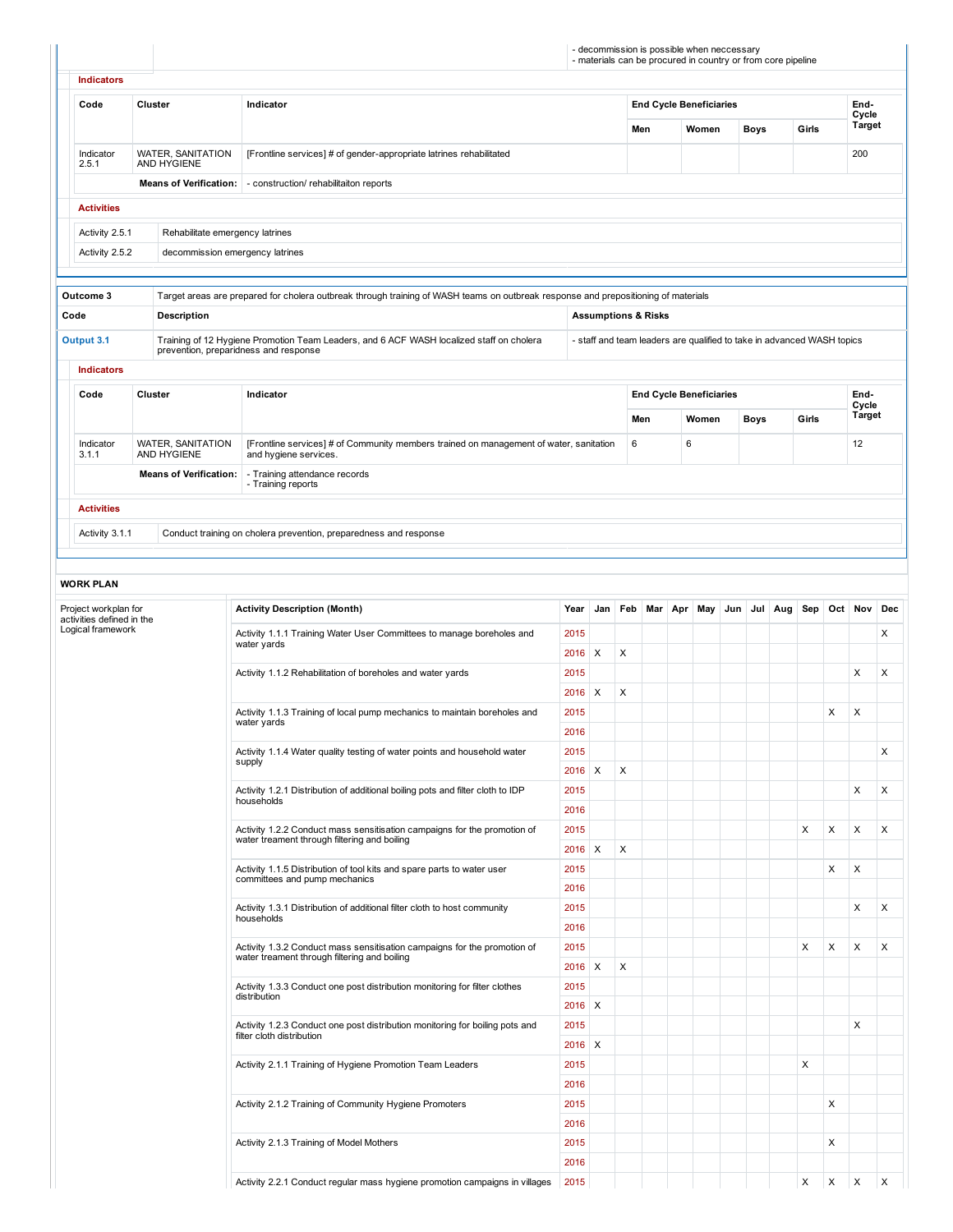|                                                   |                                                                                                                                                            |  |                                                                                                                                    |                                                                        | - decommission is possible when neccessary<br>- materials can be procured in country or from core pipeline |     |                                |   |                                |     |             |         |       |   |                        |     |
|---------------------------------------------------|------------------------------------------------------------------------------------------------------------------------------------------------------------|--|------------------------------------------------------------------------------------------------------------------------------------|------------------------------------------------------------------------|------------------------------------------------------------------------------------------------------------|-----|--------------------------------|---|--------------------------------|-----|-------------|---------|-------|---|------------------------|-----|
| <b>Indicators</b><br>Code                         | Cluster                                                                                                                                                    |  | Indicator                                                                                                                          |                                                                        |                                                                                                            |     |                                |   | <b>End Cycle Beneficiaries</b> |     |             |         |       |   | End-                   |     |
|                                                   |                                                                                                                                                            |  |                                                                                                                                    |                                                                        |                                                                                                            |     | Men                            |   | Women                          |     | Boys        |         | Girls |   | Cycle<br><b>Target</b> |     |
| Indicator                                         | <b>WATER, SANITATION</b>                                                                                                                                   |  | [Frontline services] # of gender-appropriate latrines rehabilitated                                                                |                                                                        |                                                                                                            |     |                                |   |                                |     |             |         |       |   | 200                    |     |
| 2.5.1                                             | AND HYGIENE<br><b>Means of Verification:</b>                                                                                                               |  | - construction/ rehabilitaiton reports                                                                                             |                                                                        |                                                                                                            |     |                                |   |                                |     |             |         |       |   |                        |     |
|                                                   |                                                                                                                                                            |  |                                                                                                                                    |                                                                        |                                                                                                            |     |                                |   |                                |     |             |         |       |   |                        |     |
| <b>Activities</b>                                 |                                                                                                                                                            |  |                                                                                                                                    |                                                                        |                                                                                                            |     |                                |   |                                |     |             |         |       |   |                        |     |
| Activity 2.5.1                                    |                                                                                                                                                            |  | Rehabilitate emergency latrines                                                                                                    |                                                                        |                                                                                                            |     |                                |   |                                |     |             |         |       |   |                        |     |
| Activity 2.5.2                                    |                                                                                                                                                            |  | decommission emergency latrines                                                                                                    |                                                                        |                                                                                                            |     |                                |   |                                |     |             |         |       |   |                        |     |
|                                                   |                                                                                                                                                            |  |                                                                                                                                    |                                                                        |                                                                                                            |     |                                |   |                                |     |             |         |       |   |                        |     |
| Outcome 3                                         |                                                                                                                                                            |  | Target areas are prepared for cholera outbreak through training of WASH teams on outbreak response and prepositioning of materials |                                                                        |                                                                                                            |     |                                |   |                                |     |             |         |       |   |                        |     |
| Code                                              | <b>Description</b>                                                                                                                                         |  |                                                                                                                                    |                                                                        | <b>Assumptions &amp; Risks</b>                                                                             |     |                                |   |                                |     |             |         |       |   |                        |     |
| Output 3.1                                        |                                                                                                                                                            |  | Training of 12 Hygiene Promotion Team Leaders, and 6 ACF WASH localized staff on cholera<br>prevention, preparidness and response  | - staff and team leaders are qualified to take in advanced WASH topics |                                                                                                            |     |                                |   |                                |     |             |         |       |   |                        |     |
| <b>Indicators</b>                                 |                                                                                                                                                            |  |                                                                                                                                    |                                                                        |                                                                                                            |     |                                |   |                                |     |             |         |       |   |                        |     |
| Code                                              | Cluster                                                                                                                                                    |  |                                                                                                                                    |                                                                        |                                                                                                            |     | <b>End Cycle Beneficiaries</b> |   |                                |     |             |         | End-  |   |                        |     |
|                                                   | Indicator                                                                                                                                                  |  |                                                                                                                                    |                                                                        |                                                                                                            |     |                                |   |                                |     |             |         |       |   | Cycle<br><b>Target</b> |     |
|                                                   |                                                                                                                                                            |  |                                                                                                                                    |                                                                        |                                                                                                            |     | Men                            |   | Women                          |     | <b>Boys</b> |         | Girls |   |                        |     |
| Indicator<br>3.1.1                                | <b>WATER, SANITATION</b><br>[Frontline services] # of Community members trained on management of water, sanitation<br>AND HYGIENE<br>and hygiene services. |  |                                                                                                                                    |                                                                        |                                                                                                            | 6   |                                | 6 |                                |     |             |         |       |   | 12                     |     |
|                                                   | <b>Means of Verification:</b>                                                                                                                              |  | - Training attendance records                                                                                                      |                                                                        |                                                                                                            |     |                                |   |                                |     |             |         |       |   |                        |     |
|                                                   |                                                                                                                                                            |  | - Training reports                                                                                                                 |                                                                        |                                                                                                            |     |                                |   |                                |     |             |         |       |   |                        |     |
| <b>Activities</b>                                 |                                                                                                                                                            |  |                                                                                                                                    |                                                                        |                                                                                                            |     |                                |   |                                |     |             |         |       |   |                        |     |
| Activity 3.1.1                                    |                                                                                                                                                            |  | Conduct training on cholera prevention, preparedness and response                                                                  |                                                                        |                                                                                                            |     |                                |   |                                |     |             |         |       |   |                        |     |
|                                                   |                                                                                                                                                            |  |                                                                                                                                    |                                                                        |                                                                                                            |     |                                |   |                                |     |             |         |       |   |                        |     |
|                                                   |                                                                                                                                                            |  |                                                                                                                                    |                                                                        |                                                                                                            |     |                                |   |                                |     |             |         |       |   |                        |     |
| <b>WORK PLAN</b>                                  |                                                                                                                                                            |  |                                                                                                                                    |                                                                        |                                                                                                            |     |                                |   |                                |     |             |         |       |   |                        |     |
| Project workplan for<br>activities defined in the |                                                                                                                                                            |  | <b>Activity Description (Month)</b>                                                                                                | Year                                                                   | Jan                                                                                                        | Feb |                                |   | Mar Apr May                    | Jun |             | Jul Aug | Sep   |   | Oct Nov                | Dec |
| Logical framework                                 |                                                                                                                                                            |  | Activity 1.1.1 Training Water User Committees to manage boreholes and<br>water yards                                               | 2015                                                                   |                                                                                                            |     |                                |   |                                |     |             |         |       |   |                        | X   |
|                                                   |                                                                                                                                                            |  |                                                                                                                                    | 2016                                                                   | $\mathsf{X}$                                                                                               | X   |                                |   |                                |     |             |         |       |   |                        |     |
|                                                   |                                                                                                                                                            |  | Activity 1.1.2 Rehabilitation of boreholes and water yards                                                                         | 2015                                                                   |                                                                                                            |     |                                |   |                                |     |             |         |       |   | X                      | X   |
|                                                   |                                                                                                                                                            |  |                                                                                                                                    |                                                                        | $2016$ X                                                                                                   | X   |                                |   |                                |     |             |         |       |   |                        |     |
|                                                   |                                                                                                                                                            |  | Activity 1.1.3 Training of local pump mechanics to maintain boreholes and<br>water yards                                           | 2015                                                                   |                                                                                                            |     |                                |   |                                |     |             |         |       | X | X                      |     |
|                                                   |                                                                                                                                                            |  |                                                                                                                                    | 2016                                                                   |                                                                                                            |     |                                |   |                                |     |             |         |       |   |                        |     |
|                                                   |                                                                                                                                                            |  | Activity 1.1.4 Water quality testing of water points and household water<br>supply                                                 | 2015                                                                   |                                                                                                            |     |                                |   |                                |     |             |         |       |   |                        | X   |
|                                                   |                                                                                                                                                            |  |                                                                                                                                    |                                                                        | $2016$ X                                                                                                   | X   |                                |   |                                |     |             |         |       |   |                        |     |
|                                                   |                                                                                                                                                            |  | Activity 1.2.1 Distribution of additional boiling pots and filter cloth to IDP<br>households                                       | 2015                                                                   |                                                                                                            |     |                                |   |                                |     |             |         |       |   | X                      | X   |
|                                                   |                                                                                                                                                            |  |                                                                                                                                    | 2016                                                                   |                                                                                                            |     |                                |   |                                |     |             |         |       |   |                        |     |
|                                                   |                                                                                                                                                            |  | Activity 1.2.2 Conduct mass sensitisation campaigns for the promotion of<br>water treament through filtering and boiling           | 2015                                                                   |                                                                                                            |     |                                |   |                                |     |             |         | X     | X | X                      | X   |
|                                                   |                                                                                                                                                            |  | Activity 1.1.5 Distribution of tool kits and spare parts to water user                                                             | 2015                                                                   | $2016$ X                                                                                                   | X   |                                |   |                                |     |             |         |       | X | X                      |     |
|                                                   |                                                                                                                                                            |  | committees and pump mechanics                                                                                                      | 2016                                                                   |                                                                                                            |     |                                |   |                                |     |             |         |       |   |                        |     |
|                                                   |                                                                                                                                                            |  | Activity 1.3.1 Distribution of additional filter cloth to host community                                                           | 2015                                                                   |                                                                                                            |     |                                |   |                                |     |             |         |       |   | X                      | X   |
|                                                   |                                                                                                                                                            |  | households                                                                                                                         | 2016                                                                   |                                                                                                            |     |                                |   |                                |     |             |         |       |   |                        |     |
|                                                   |                                                                                                                                                            |  | Activity 1.3.2 Conduct mass sensitisation campaigns for the promotion of                                                           | 2015                                                                   |                                                                                                            |     |                                |   |                                |     |             |         | X     | X | X                      | X   |
|                                                   |                                                                                                                                                            |  | water treament through filtering and boiling                                                                                       |                                                                        | $2016$ X                                                                                                   | X   |                                |   |                                |     |             |         |       |   |                        |     |
|                                                   |                                                                                                                                                            |  | Activity 1.3.3 Conduct one post distribution monitoring for filter clothes                                                         | 2015                                                                   |                                                                                                            |     |                                |   |                                |     |             |         |       |   |                        |     |
|                                                   |                                                                                                                                                            |  | distribution                                                                                                                       |                                                                        | $2016$ X                                                                                                   |     |                                |   |                                |     |             |         |       |   |                        |     |
|                                                   |                                                                                                                                                            |  | Activity 1.2.3 Conduct one post distribution monitoring for boiling pots and                                                       | 2015                                                                   |                                                                                                            |     |                                |   |                                |     |             |         |       |   | X                      |     |
|                                                   |                                                                                                                                                            |  | filter cloth distribution                                                                                                          |                                                                        | $2016$ X                                                                                                   |     |                                |   |                                |     |             |         |       |   |                        |     |
|                                                   |                                                                                                                                                            |  | Activity 2.1.1 Training of Hygiene Promotion Team Leaders                                                                          | 2015                                                                   |                                                                                                            |     |                                |   |                                |     |             |         | X     |   |                        |     |
|                                                   |                                                                                                                                                            |  |                                                                                                                                    | 2016                                                                   |                                                                                                            |     |                                |   |                                |     |             |         |       |   |                        |     |
|                                                   |                                                                                                                                                            |  | Activity 2.1.2 Training of Community Hygiene Promoters                                                                             | 2015                                                                   |                                                                                                            |     |                                |   |                                |     |             |         |       | X |                        |     |
|                                                   |                                                                                                                                                            |  |                                                                                                                                    | 2016                                                                   |                                                                                                            |     |                                |   |                                |     |             |         |       |   |                        |     |

Activity 2.2.1 Conduct regular mass hygiene promotion campaigns in villages 2015 X X X X X X X X X X X X X X X

Activity 2.1.3 Training of Model Mothers 2015 2015 2015

2016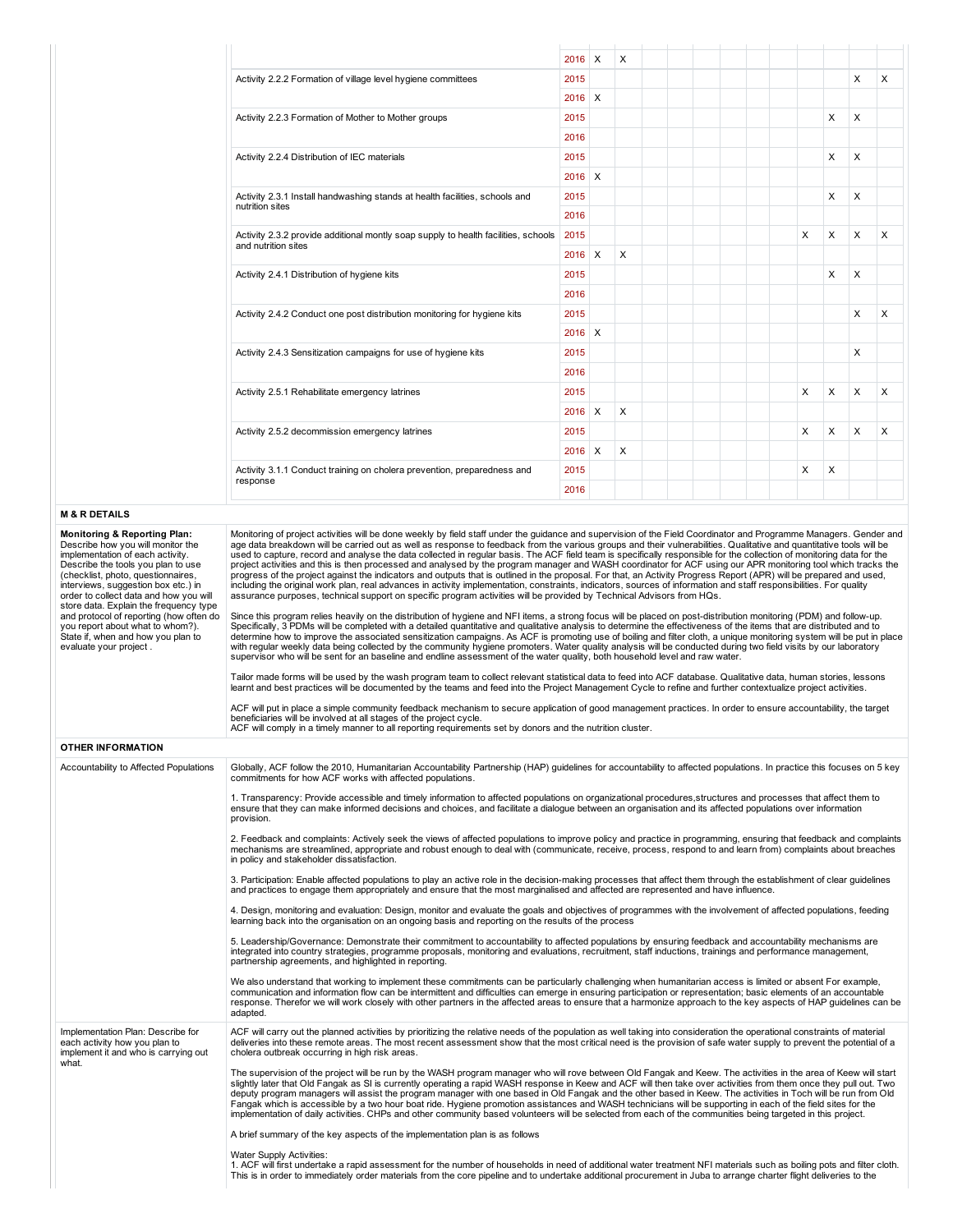|                                                                                                           | $2016$ X |                           | $\mathsf{x}$ |  |  |   |          |                                     |                |
|-----------------------------------------------------------------------------------------------------------|----------|---------------------------|--------------|--|--|---|----------|-------------------------------------|----------------|
| Activity 2.2.2 Formation of village level hygiene committees                                              | 2015     |                           |              |  |  |   |          | X                                   | $\pmb{\times}$ |
|                                                                                                           | $2016$ X |                           |              |  |  |   |          |                                     |                |
| Activity 2.2.3 Formation of Mother to Mother groups                                                       | 2015     |                           |              |  |  |   | X        | X                                   |                |
|                                                                                                           | 2016     |                           |              |  |  |   |          |                                     |                |
| Activity 2.2.4 Distribution of IEC materials                                                              | 2015     |                           |              |  |  |   | Χ        | X                                   |                |
|                                                                                                           | $2016$ X |                           |              |  |  |   |          |                                     |                |
| Activity 2.3.1 Install handwashing stands at health facilities, schools and<br>nutrition sites            | 2015     |                           |              |  |  |   | X        | X                                   |                |
|                                                                                                           | 2016     |                           |              |  |  |   |          |                                     |                |
| Activity 2.3.2 provide additional montly soap supply to health facilities, schools<br>and nutrition sites | 2015     |                           |              |  |  | X | X        | X                                   | $\times$       |
|                                                                                                           | $2016$ X |                           | X            |  |  |   |          |                                     |                |
| Activity 2.4.1 Distribution of hygiene kits                                                               | 2015     |                           |              |  |  |   | Χ        | X                                   |                |
|                                                                                                           | 2016     |                           |              |  |  |   |          |                                     |                |
| Activity 2.4.2 Conduct one post distribution monitoring for hygiene kits                                  | 2015     |                           |              |  |  |   |          | X                                   | $\pmb{\times}$ |
|                                                                                                           | $2016$ X |                           |              |  |  |   |          |                                     |                |
| Activity 2.4.3 Sensitization campaigns for use of hygiene kits                                            | 2015     |                           |              |  |  |   |          | X<br>X<br>$\times$<br>X<br>$\times$ |                |
|                                                                                                           | 2016     |                           |              |  |  |   |          |                                     |                |
| Activity 2.5.1 Rehabilitate emergency latrines                                                            | 2015     |                           |              |  |  | X | X        |                                     |                |
|                                                                                                           | 2016     | $\boldsymbol{\mathsf{X}}$ | X            |  |  |   |          |                                     |                |
| Activity 2.5.2 decommission emergency latrines                                                            | 2015     |                           |              |  |  | X | X        |                                     |                |
|                                                                                                           | $2016$ X |                           | X            |  |  |   |          |                                     |                |
| Activity 3.1.1 Conduct training on cholera prevention, preparedness and<br>response                       | 2015     |                           |              |  |  | X | $\times$ |                                     |                |
|                                                                                                           | 2016     |                           |              |  |  |   |          |                                     |                |

## M & R DETAILS

| <b>Monitoring &amp; Reporting Plan:</b><br>Describe how you will monitor the<br>implementation of each activity.<br>Describe the tools you plan to use<br>(checklist, photo, questionnaires,<br>interviews, suggestion box etc.) in<br>order to collect data and how you will<br>store data. Explain the frequency type<br>and protocol of reporting (how often do<br>you report about what to whom?).<br>State if, when and how you plan to<br>evaluate your project. | Monitoring of project activities will be done weekly by field staff under the guidance and supervision of the Field Coordinator and Programme Managers. Gender and<br>age data breakdown will be carried out as well as response to feedback from the various groups and their vulnerabilities. Qualitative and quantitative tools will be<br>used to capture, record and analyse the data collected in regular basis. The ACF field team is specifically responsible for the collection of monitoring data for the<br>project activities and this is then processed and analysed by the program manager and WASH coordinator for ACF using our APR monitoring tool which tracks the<br>progress of the project against the indicators and outputs that is outlined in the proposal. For that, an Activity Progress Report (APR) will be prepared and used,<br>including the original work plan, real advances in activity implementation, constraints, indicators, sources of information and staff responsibilities. For quality<br>assurance purposes, technical support on specific program activities will be provided by Technical Advisors from HQs.<br>Since this program relies heavily on the distribution of hygiene and NFI items, a strong focus will be placed on post-distribution monitoring (PDM) and follow-up.<br>Specifically, 3 PDMs will be completed with a detailed quantitative and qualitative analysis to determine the effectiveness of the items that are distributed and to<br>determine how to improve the associated sensitization campaigns. As ACF is promoting use of boiling and filter cloth, a unique monitoring system will be put in place<br>with reqular weekly data being collected by the community hygiene promoters. Water quality analysis will be conducted during two field visits by our laboratory<br>supervisor who will be sent for an baseline and endline assessment of the water quality, both household level and raw water.<br>Tailor made forms will be used by the wash program team to collect relevant statistical data to feed into ACF database. Qualitative data, human stories, lessons<br>learnt and best practices will be documented by the teams and feed into the Project Management Cycle to refine and further contextualize project activities.<br>ACF will put in place a simple community feedback mechanism to secure application of good management practices. In order to ensure accountability, the target<br>beneficiaries will be involved at all stages of the project cycle.<br>ACF will comply in a timely manner to all reporting requirements set by donors and the nutrition cluster. |
|------------------------------------------------------------------------------------------------------------------------------------------------------------------------------------------------------------------------------------------------------------------------------------------------------------------------------------------------------------------------------------------------------------------------------------------------------------------------|-------------------------------------------------------------------------------------------------------------------------------------------------------------------------------------------------------------------------------------------------------------------------------------------------------------------------------------------------------------------------------------------------------------------------------------------------------------------------------------------------------------------------------------------------------------------------------------------------------------------------------------------------------------------------------------------------------------------------------------------------------------------------------------------------------------------------------------------------------------------------------------------------------------------------------------------------------------------------------------------------------------------------------------------------------------------------------------------------------------------------------------------------------------------------------------------------------------------------------------------------------------------------------------------------------------------------------------------------------------------------------------------------------------------------------------------------------------------------------------------------------------------------------------------------------------------------------------------------------------------------------------------------------------------------------------------------------------------------------------------------------------------------------------------------------------------------------------------------------------------------------------------------------------------------------------------------------------------------------------------------------------------------------------------------------------------------------------------------------------------------------------------------------------------------------------------------------------------------------------------------------------------------------------------------------------------------------------------------------------------------------------------------------------------------------------------------------------------------------------------------------------------------------------------------------------------------------------------------------------------------------------------------------------------------------|
| <b>OTHER INFORMATION</b>                                                                                                                                                                                                                                                                                                                                                                                                                                               |                                                                                                                                                                                                                                                                                                                                                                                                                                                                                                                                                                                                                                                                                                                                                                                                                                                                                                                                                                                                                                                                                                                                                                                                                                                                                                                                                                                                                                                                                                                                                                                                                                                                                                                                                                                                                                                                                                                                                                                                                                                                                                                                                                                                                                                                                                                                                                                                                                                                                                                                                                                                                                                                               |
| Accountability to Affected Populations                                                                                                                                                                                                                                                                                                                                                                                                                                 | Globally, ACF follow the 2010, Humanitarian Accountability Partnership (HAP) quidelines for accountability to affected populations. In practice this focuses on 5 key<br>commitments for how ACF works with affected populations.                                                                                                                                                                                                                                                                                                                                                                                                                                                                                                                                                                                                                                                                                                                                                                                                                                                                                                                                                                                                                                                                                                                                                                                                                                                                                                                                                                                                                                                                                                                                                                                                                                                                                                                                                                                                                                                                                                                                                                                                                                                                                                                                                                                                                                                                                                                                                                                                                                             |
|                                                                                                                                                                                                                                                                                                                                                                                                                                                                        | 1. Transparency: Provide accessible and timely information to affected populations on organizational procedures, structures and processes that affect them to<br>ensure that they can make informed decisions and choices, and facilitate a dialogue between an organisation and its affected populations over information<br>provision.                                                                                                                                                                                                                                                                                                                                                                                                                                                                                                                                                                                                                                                                                                                                                                                                                                                                                                                                                                                                                                                                                                                                                                                                                                                                                                                                                                                                                                                                                                                                                                                                                                                                                                                                                                                                                                                                                                                                                                                                                                                                                                                                                                                                                                                                                                                                      |
|                                                                                                                                                                                                                                                                                                                                                                                                                                                                        | 2. Feedback and complaints: Actively seek the views of affected populations to improve policy and practice in programming, ensuring that feedback and complaints<br>mechanisms are streamlined, appropriate and robust enough to deal with (communicate, receive, process, respond to and learn from) complaints about breaches<br>in policy and stakeholder dissatisfaction.                                                                                                                                                                                                                                                                                                                                                                                                                                                                                                                                                                                                                                                                                                                                                                                                                                                                                                                                                                                                                                                                                                                                                                                                                                                                                                                                                                                                                                                                                                                                                                                                                                                                                                                                                                                                                                                                                                                                                                                                                                                                                                                                                                                                                                                                                                 |
|                                                                                                                                                                                                                                                                                                                                                                                                                                                                        | 3. Participation: Enable affected populations to play an active role in the decision-making processes that affect them through the establishment of clear guidelines<br>and practices to engage them appropriately and ensure that the most marginalised and affected are represented and have influence.                                                                                                                                                                                                                                                                                                                                                                                                                                                                                                                                                                                                                                                                                                                                                                                                                                                                                                                                                                                                                                                                                                                                                                                                                                                                                                                                                                                                                                                                                                                                                                                                                                                                                                                                                                                                                                                                                                                                                                                                                                                                                                                                                                                                                                                                                                                                                                     |
|                                                                                                                                                                                                                                                                                                                                                                                                                                                                        | 4. Design, monitoring and evaluation: Design, monitor and evaluate the goals and objectives of programmes with the involvement of affected populations, feeding<br>learning back into the organisation on an ongoing basis and reporting on the results of the process                                                                                                                                                                                                                                                                                                                                                                                                                                                                                                                                                                                                                                                                                                                                                                                                                                                                                                                                                                                                                                                                                                                                                                                                                                                                                                                                                                                                                                                                                                                                                                                                                                                                                                                                                                                                                                                                                                                                                                                                                                                                                                                                                                                                                                                                                                                                                                                                        |
|                                                                                                                                                                                                                                                                                                                                                                                                                                                                        | 5. Leadership/Governance: Demonstrate their commitment to accountability to affected populations by ensuring feedback and accountability mechanisms are<br>integrated into country strategies, programme proposals, monitoring and evaluations, recruitment, staff inductions, trainings and performance management,<br>partnership agreements, and highlighted in reporting.                                                                                                                                                                                                                                                                                                                                                                                                                                                                                                                                                                                                                                                                                                                                                                                                                                                                                                                                                                                                                                                                                                                                                                                                                                                                                                                                                                                                                                                                                                                                                                                                                                                                                                                                                                                                                                                                                                                                                                                                                                                                                                                                                                                                                                                                                                 |
|                                                                                                                                                                                                                                                                                                                                                                                                                                                                        | We also understand that working to implement these commitments can be particularly challenging when humanitarian access is limited or absent For example,<br>communication and information flow can be intermittent and difficulties can emerge in ensuring participation or representation; basic elements of an accountable<br>response. Therefor we will work closely with other partners in the affected areas to ensure that a harmonize approach to the key aspects of HAP quidelines can be<br>adapted.                                                                                                                                                                                                                                                                                                                                                                                                                                                                                                                                                                                                                                                                                                                                                                                                                                                                                                                                                                                                                                                                                                                                                                                                                                                                                                                                                                                                                                                                                                                                                                                                                                                                                                                                                                                                                                                                                                                                                                                                                                                                                                                                                                |
| Implementation Plan: Describe for<br>each activity how you plan to<br>implement it and who is carrying out<br>what.                                                                                                                                                                                                                                                                                                                                                    | ACF will carry out the planned activities by prioritizing the relative needs of the population as well taking into consideration the operational constraints of material<br>deliveries into these remote areas. The most recent assessment show that the most critical need is the provision of safe water supply to prevent the potential of a<br>cholera outbreak occurring in high risk areas.                                                                                                                                                                                                                                                                                                                                                                                                                                                                                                                                                                                                                                                                                                                                                                                                                                                                                                                                                                                                                                                                                                                                                                                                                                                                                                                                                                                                                                                                                                                                                                                                                                                                                                                                                                                                                                                                                                                                                                                                                                                                                                                                                                                                                                                                             |
|                                                                                                                                                                                                                                                                                                                                                                                                                                                                        | The supervision of the project will be run by the WASH program manager who will rove between Old Fangak and Keew. The activities in the area of Keew will start<br>slightly later that Old Fangak as SI is currently operating a rapid WASH response in Keew and ACF will then take over activities from them once they pull out. Two<br>deputy program managers will assist the program manager with one based in Old Fangak and the other based in Keew. The activities in Toch will be run from Old<br>Fangak which is accessible by a two hour boat ride. Hygiene promotion assistances and WASH technicians will be supporting in each of the field sites for the<br>implementation of daily activities. CHPs and other community based volunteers will be selected from each of the communities being targeted in this project.                                                                                                                                                                                                                                                                                                                                                                                                                                                                                                                                                                                                                                                                                                                                                                                                                                                                                                                                                                                                                                                                                                                                                                                                                                                                                                                                                                                                                                                                                                                                                                                                                                                                                                                                                                                                                                         |
|                                                                                                                                                                                                                                                                                                                                                                                                                                                                        | A brief summary of the key aspects of the implementation plan is as follows                                                                                                                                                                                                                                                                                                                                                                                                                                                                                                                                                                                                                                                                                                                                                                                                                                                                                                                                                                                                                                                                                                                                                                                                                                                                                                                                                                                                                                                                                                                                                                                                                                                                                                                                                                                                                                                                                                                                                                                                                                                                                                                                                                                                                                                                                                                                                                                                                                                                                                                                                                                                   |
|                                                                                                                                                                                                                                                                                                                                                                                                                                                                        | Water Supply Activities:<br>1. ACF will first undertake a rapid assessment for the number of households in need of additional water treatment NFI materials such as boiling pots and filter cloth.<br>This is in order to immediately order materials from the core pipeline and to undertake additional procurement in Juba to arrange charter flight deliveries to the                                                                                                                                                                                                                                                                                                                                                                                                                                                                                                                                                                                                                                                                                                                                                                                                                                                                                                                                                                                                                                                                                                                                                                                                                                                                                                                                                                                                                                                                                                                                                                                                                                                                                                                                                                                                                                                                                                                                                                                                                                                                                                                                                                                                                                                                                                      |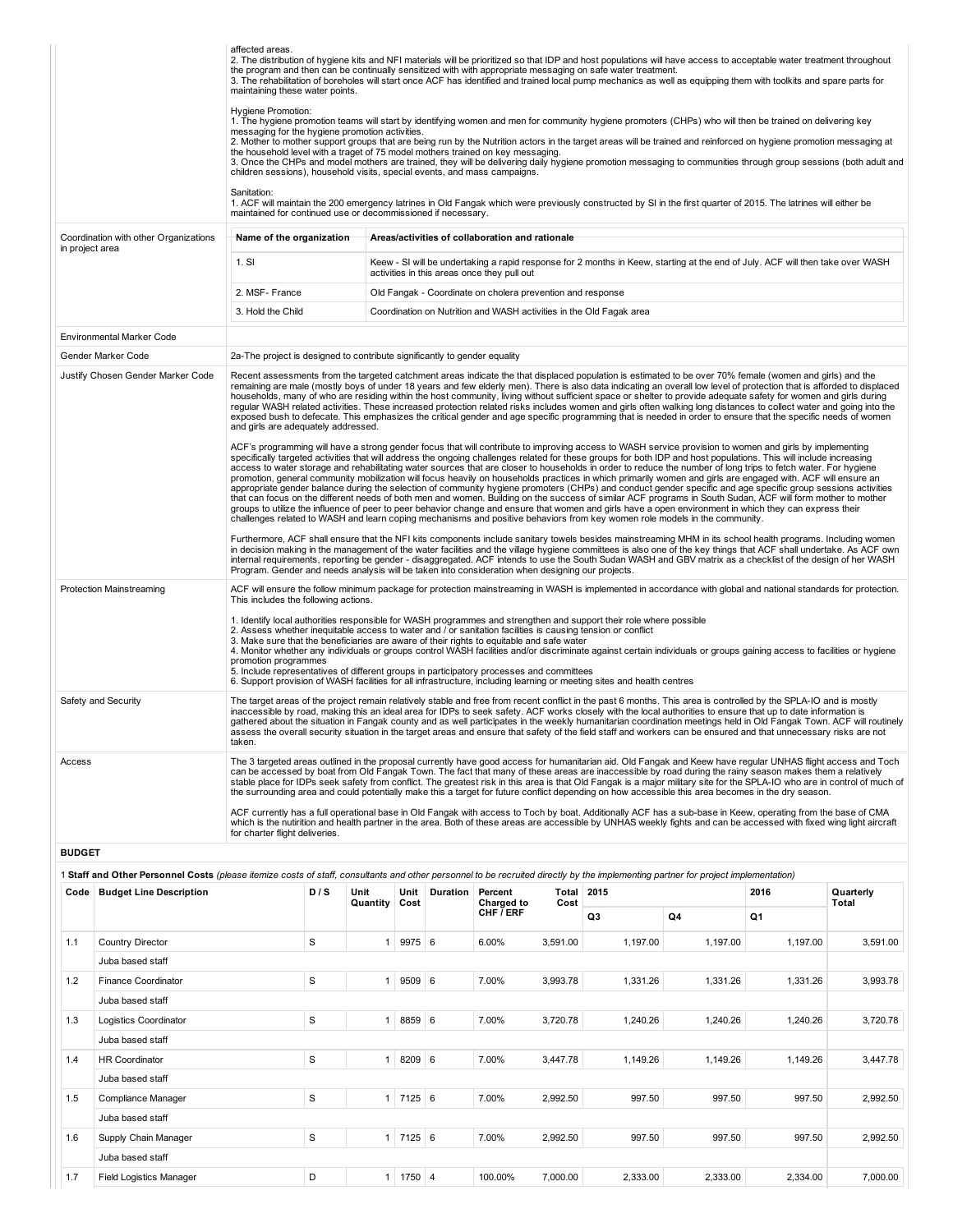|                 |                                                                                                                                                                                                                      | affected areas.<br>maintaining these water points.                                                                                                                                                                                                                                                                           |       |                |                      |          |                                                            |          | the program and then can be continually sensitized with with appropriate messaging on safe water treatment.                                                                                                                                  | 2. The distribution of hygiene kits and NFI materials will be prioritized so that IDP and host populations will have access to acceptable water treatment throughout<br>3. The rehabilitation of boreholes will start once ACF has identified and trained local pump mechanics as well as equipping them with toolkits and spare parts for                                                                                                                                                                                                                                                                                                                                                                                                                                                                                                                                                                                                                                                                                                                                                                                                                                                                                                                                              |          |           |
|-----------------|----------------------------------------------------------------------------------------------------------------------------------------------------------------------------------------------------------------------|------------------------------------------------------------------------------------------------------------------------------------------------------------------------------------------------------------------------------------------------------------------------------------------------------------------------------|-------|----------------|----------------------|----------|------------------------------------------------------------|----------|----------------------------------------------------------------------------------------------------------------------------------------------------------------------------------------------------------------------------------------------|-----------------------------------------------------------------------------------------------------------------------------------------------------------------------------------------------------------------------------------------------------------------------------------------------------------------------------------------------------------------------------------------------------------------------------------------------------------------------------------------------------------------------------------------------------------------------------------------------------------------------------------------------------------------------------------------------------------------------------------------------------------------------------------------------------------------------------------------------------------------------------------------------------------------------------------------------------------------------------------------------------------------------------------------------------------------------------------------------------------------------------------------------------------------------------------------------------------------------------------------------------------------------------------------|----------|-----------|
|                 |                                                                                                                                                                                                                      | <b>Hygiene Promotion:</b><br>messaging for the hygiene promotion activities.<br>the household level with a traget of 75 model mothers trained on key messaging.<br>children sessions), household visits, special events, and mass campaigns.                                                                                 |       |                |                      |          |                                                            |          |                                                                                                                                                                                                                                              | 1. The hygiene promotion teams will start by identifying women and men for community hygiene promoters (CHPs) who will then be trained on delivering key<br>2. Mother to mother support groups that are being run by the Nutrition actors in the target areas will be trained and reinforced on hygiene promotion messaging at<br>3. Once the CHPs and model mothers are trained, they will be delivering daily hygiene promotion messaging to communities through group sessions (both adult and                                                                                                                                                                                                                                                                                                                                                                                                                                                                                                                                                                                                                                                                                                                                                                                       |          |           |
|                 |                                                                                                                                                                                                                      | Sanitation:<br>maintained for continued use or decommissioned if necessary.                                                                                                                                                                                                                                                  |       |                |                      |          |                                                            |          |                                                                                                                                                                                                                                              | 1. ACF will maintain the 200 emergency latrines in Old Fangak which were previously constructed by SI in the first quarter of 2015. The latrines will either be                                                                                                                                                                                                                                                                                                                                                                                                                                                                                                                                                                                                                                                                                                                                                                                                                                                                                                                                                                                                                                                                                                                         |          |           |
|                 | Coordination with other Organizations                                                                                                                                                                                | Name of the organization                                                                                                                                                                                                                                                                                                     |       |                |                      |          | Areas/activities of collaboration and rationale            |          |                                                                                                                                                                                                                                              |                                                                                                                                                                                                                                                                                                                                                                                                                                                                                                                                                                                                                                                                                                                                                                                                                                                                                                                                                                                                                                                                                                                                                                                                                                                                                         |          |           |
| in project area |                                                                                                                                                                                                                      | 1. S1                                                                                                                                                                                                                                                                                                                        |       |                |                      |          | activities in this areas once they pull out                |          |                                                                                                                                                                                                                                              | Keew - SI will be undertaking a rapid response for 2 months in Keew, starting at the end of July. ACF will then take over WASH                                                                                                                                                                                                                                                                                                                                                                                                                                                                                                                                                                                                                                                                                                                                                                                                                                                                                                                                                                                                                                                                                                                                                          |          |           |
|                 |                                                                                                                                                                                                                      | 2. MSF-France                                                                                                                                                                                                                                                                                                                |       |                |                      |          | Old Fangak - Coordinate on cholera prevention and response |          |                                                                                                                                                                                                                                              |                                                                                                                                                                                                                                                                                                                                                                                                                                                                                                                                                                                                                                                                                                                                                                                                                                                                                                                                                                                                                                                                                                                                                                                                                                                                                         |          |           |
|                 |                                                                                                                                                                                                                      | 3. Hold the Child                                                                                                                                                                                                                                                                                                            |       |                |                      |          |                                                            |          | Coordination on Nutrition and WASH activities in the Old Fagak area                                                                                                                                                                          |                                                                                                                                                                                                                                                                                                                                                                                                                                                                                                                                                                                                                                                                                                                                                                                                                                                                                                                                                                                                                                                                                                                                                                                                                                                                                         |          |           |
|                 | Environmental Marker Code                                                                                                                                                                                            |                                                                                                                                                                                                                                                                                                                              |       |                |                      |          |                                                            |          |                                                                                                                                                                                                                                              |                                                                                                                                                                                                                                                                                                                                                                                                                                                                                                                                                                                                                                                                                                                                                                                                                                                                                                                                                                                                                                                                                                                                                                                                                                                                                         |          |           |
|                 | Gender Marker Code                                                                                                                                                                                                   | 2a-The project is designed to contribute significantly to gender equality                                                                                                                                                                                                                                                    |       |                |                      |          |                                                            |          |                                                                                                                                                                                                                                              |                                                                                                                                                                                                                                                                                                                                                                                                                                                                                                                                                                                                                                                                                                                                                                                                                                                                                                                                                                                                                                                                                                                                                                                                                                                                                         |          |           |
|                 | Justify Chosen Gender Marker Code                                                                                                                                                                                    | and girls are adequately addressed.                                                                                                                                                                                                                                                                                          |       |                |                      |          |                                                            |          |                                                                                                                                                                                                                                              | Recent assessments from the targeted catchment areas indicate the that displaced population is estimated to be over 70% female (women and girls) and the<br>remaining are male (mostly boys of under 18 years and few elderly men). There is also data indicating an overall low level of protection that is afforded to displaced<br>households, many of who are residing within the host community, living without sufficient space or shelter to provide adequate safety for women and girls during<br>reqular WASH related activities. These increased protection related risks includes women and girls often walking long distances to collect water and going into the<br>exposed bush to defecate. This emphasizes the critical gender and age specific programming that is needed in order to ensure that the specific needs of women                                                                                                                                                                                                                                                                                                                                                                                                                                          |          |           |
|                 |                                                                                                                                                                                                                      |                                                                                                                                                                                                                                                                                                                              |       |                |                      |          |                                                            |          |                                                                                                                                                                                                                                              | ACF's programming will have a strong gender focus that will contribute to improving access to WASH service provision to women and girls by implementing<br>specifically targeted activities that will address the ongoing challenges related for these groups for both IDP and host populations. This will include increasing<br>access to water storage and rehabilitating water sources that are closer to households in order to reduce the number of long trips to fetch water. For hygiene<br>promotion, general community mobilization will focus heavily on households practices in which primarily women and girls are engaged with. ACF will ensure an<br>appropriate gender balance during the selection of community hygiene promoters (CHPs) and conduct gender specific and age specific group sessions activities<br>that can focus on the different needs of both men and women. Building on the success of similar ACF programs in South Sudan, ACF will form mother to mother<br>groups to utilize the influence of peer to peer behavior change and ensure that women and girls have a open environment in which they can express their<br>challenges related to WASH and learn coping mechanisms and positive behaviors from key women role models in the community. |          |           |
|                 |                                                                                                                                                                                                                      | Program. Gender and needs analysis will be taken into consideration when designing our projects.                                                                                                                                                                                                                             |       |                |                      |          |                                                            |          |                                                                                                                                                                                                                                              | Furthermore, ACF shall ensure that the NFI kits components include sanitary towels besides mainstreaming MHM in its school health programs. Including women<br>in decision making in the management of the water facilities and the village hygiene committees is also one of the key things that ACF shall undertake. As ACF own<br>internal requirements, reporting be gender - disaggregated. ACF intends to use the South Sudan WASH and GBV matrix as a checklist of the design of her WASH                                                                                                                                                                                                                                                                                                                                                                                                                                                                                                                                                                                                                                                                                                                                                                                        |          |           |
|                 | <b>Protection Mainstreaming</b>                                                                                                                                                                                      | This includes the following actions.                                                                                                                                                                                                                                                                                         |       |                |                      |          |                                                            |          |                                                                                                                                                                                                                                              | ACF will ensure the follow minimum package for protection mainstreaming in WASH is implemented in accordance with global and national standards for protection.                                                                                                                                                                                                                                                                                                                                                                                                                                                                                                                                                                                                                                                                                                                                                                                                                                                                                                                                                                                                                                                                                                                         |          |           |
|                 |                                                                                                                                                                                                                      | 2. Assess whether inequitable access to water and / or sanitation facilities is causing tension or conflict<br>3. Make sure that the beneficiaries are aware of their rights to equitable and safe water<br>promotion programmes<br>5. Include representatives of different groups in participatory processes and committees |       |                |                      |          |                                                            |          | 1. Identify local authorities responsible for WASH programmes and strengthen and support their role where possible<br>6. Support provision of WASH facilities for all infrastructure, including learning or meeting sites and health centres | 4. Monitor whether any individuals or groups control WASH facilities and/or discriminate against certain individuals or groups gaining access to facilities or hygiene                                                                                                                                                                                                                                                                                                                                                                                                                                                                                                                                                                                                                                                                                                                                                                                                                                                                                                                                                                                                                                                                                                                  |          |           |
|                 | Safety and Security                                                                                                                                                                                                  | taken.                                                                                                                                                                                                                                                                                                                       |       |                |                      |          |                                                            |          |                                                                                                                                                                                                                                              | The target areas of the project remain relatively stable and free from recent conflict in the past 6 months. This area is controlled by the SPLA-IO and is mostly<br>inaccessible by road, making this an ideal area for IDPs to seek safety. ACF works closely with the local authorities to ensure that up to date information is<br>gathered about the situation in Fangak county and as well participates in the weekly humanitarian coordination meetings held in Old Fangak Town. ACF will routinely<br>assess the overall security situation in the target areas and ensure that safety of the field staff and workers can be ensured and that unnecessary risks are not                                                                                                                                                                                                                                                                                                                                                                                                                                                                                                                                                                                                         |          |           |
| Access          |                                                                                                                                                                                                                      |                                                                                                                                                                                                                                                                                                                              |       |                |                      |          |                                                            |          |                                                                                                                                                                                                                                              | The 3 targeted areas outlined in the proposal currently have good access for humanitarian aid. Old Fangak and Keew have regular UNHAS flight access and Toch<br>can be accessed by boat from Old Fangak Town. The fact that many of these areas are inaccessible by road during the rainy season makes them a relatively<br>stable place for IDPs seek safety from conflict. The greatest risk in this area is that Old Fangak is a major military site for the SPLA-IO who are in control of much of<br>the surrounding area and could potentially make this a target for future conflict depending on how accessible this area becomes in the dry season.                                                                                                                                                                                                                                                                                                                                                                                                                                                                                                                                                                                                                             |          |           |
|                 |                                                                                                                                                                                                                      | for charter flight deliveries.                                                                                                                                                                                                                                                                                               |       |                |                      |          |                                                            |          |                                                                                                                                                                                                                                              | ACF currently has a full operational base in Old Fangak with access to Toch by boat. Additionally ACF has a sub-base in Keew, operating from the base of CMA<br>which is the nutirition and health partner in the area. Both of these areas are accessible by UNHAS weekly fights and can be accessed with fixed wing light aircraft                                                                                                                                                                                                                                                                                                                                                                                                                                                                                                                                                                                                                                                                                                                                                                                                                                                                                                                                                    |          |           |
| <b>BUDGET</b>   |                                                                                                                                                                                                                      |                                                                                                                                                                                                                                                                                                                              |       |                |                      |          |                                                            |          |                                                                                                                                                                                                                                              |                                                                                                                                                                                                                                                                                                                                                                                                                                                                                                                                                                                                                                                                                                                                                                                                                                                                                                                                                                                                                                                                                                                                                                                                                                                                                         |          |           |
|                 | 1 Staff and Other Personnel Costs (please itemize costs of staff, consultants and other personnel to be recruited directly by the implementing partner for project implementation)<br>Code   Budget Line Description |                                                                                                                                                                                                                                                                                                                              | D / S | Unit           | Unit                 | Duration | Percent                                                    | Total    | 2015                                                                                                                                                                                                                                         |                                                                                                                                                                                                                                                                                                                                                                                                                                                                                                                                                                                                                                                                                                                                                                                                                                                                                                                                                                                                                                                                                                                                                                                                                                                                                         | 2016     | Quarterly |
|                 |                                                                                                                                                                                                                      |                                                                                                                                                                                                                                                                                                                              |       | Quantity       | Cost                 |          | Charged to<br>CHF <i>i</i> ERF                             | Cost     |                                                                                                                                                                                                                                              |                                                                                                                                                                                                                                                                                                                                                                                                                                                                                                                                                                                                                                                                                                                                                                                                                                                                                                                                                                                                                                                                                                                                                                                                                                                                                         |          | Total     |
|                 |                                                                                                                                                                                                                      |                                                                                                                                                                                                                                                                                                                              |       |                |                      |          |                                                            |          | Q3                                                                                                                                                                                                                                           | Q4                                                                                                                                                                                                                                                                                                                                                                                                                                                                                                                                                                                                                                                                                                                                                                                                                                                                                                                                                                                                                                                                                                                                                                                                                                                                                      | Q1       |           |
| 1.1             | <b>Country Director</b>                                                                                                                                                                                              |                                                                                                                                                                                                                                                                                                                              | S     | 1              | $9975 \, 6$          |          | 6.00%                                                      | 3,591.00 | 1,197.00                                                                                                                                                                                                                                     | 1,197.00                                                                                                                                                                                                                                                                                                                                                                                                                                                                                                                                                                                                                                                                                                                                                                                                                                                                                                                                                                                                                                                                                                                                                                                                                                                                                | 1,197.00 | 3,591.00  |
|                 | Juba based staff                                                                                                                                                                                                     |                                                                                                                                                                                                                                                                                                                              |       |                |                      |          |                                                            |          |                                                                                                                                                                                                                                              |                                                                                                                                                                                                                                                                                                                                                                                                                                                                                                                                                                                                                                                                                                                                                                                                                                                                                                                                                                                                                                                                                                                                                                                                                                                                                         |          |           |
| 1.2             | <b>Finance Coordinator</b><br>Juba based staff                                                                                                                                                                       |                                                                                                                                                                                                                                                                                                                              | S     | $\mathbf{1}$   | $9509$ 6             |          | 7.00%                                                      | 3,993.78 | 1,331.26                                                                                                                                                                                                                                     | 1,331.26                                                                                                                                                                                                                                                                                                                                                                                                                                                                                                                                                                                                                                                                                                                                                                                                                                                                                                                                                                                                                                                                                                                                                                                                                                                                                | 1,331.26 | 3,993.78  |
| 1.3             | Logistics Coordinator                                                                                                                                                                                                |                                                                                                                                                                                                                                                                                                                              | S     | 1              | 8859 6               |          | 7.00%                                                      | 3,720.78 | 1,240.26                                                                                                                                                                                                                                     | 1,240.26                                                                                                                                                                                                                                                                                                                                                                                                                                                                                                                                                                                                                                                                                                                                                                                                                                                                                                                                                                                                                                                                                                                                                                                                                                                                                | 1,240.26 | 3,720.78  |
|                 | Juba based staff                                                                                                                                                                                                     |                                                                                                                                                                                                                                                                                                                              |       |                |                      |          |                                                            |          |                                                                                                                                                                                                                                              |                                                                                                                                                                                                                                                                                                                                                                                                                                                                                                                                                                                                                                                                                                                                                                                                                                                                                                                                                                                                                                                                                                                                                                                                                                                                                         |          |           |
| 1.4             | <b>HR Coordinator</b>                                                                                                                                                                                                |                                                                                                                                                                                                                                                                                                                              | S     | 1              | 8209 6               |          | 7.00%                                                      | 3,447.78 | 1,149.26                                                                                                                                                                                                                                     | 1,149.26                                                                                                                                                                                                                                                                                                                                                                                                                                                                                                                                                                                                                                                                                                                                                                                                                                                                                                                                                                                                                                                                                                                                                                                                                                                                                | 1,149.26 | 3,447.78  |
|                 | Juba based staff                                                                                                                                                                                                     |                                                                                                                                                                                                                                                                                                                              |       |                |                      |          |                                                            |          |                                                                                                                                                                                                                                              |                                                                                                                                                                                                                                                                                                                                                                                                                                                                                                                                                                                                                                                                                                                                                                                                                                                                                                                                                                                                                                                                                                                                                                                                                                                                                         |          |           |
| 1.5             | Compliance Manager                                                                                                                                                                                                   |                                                                                                                                                                                                                                                                                                                              | S     | 1 <sup>1</sup> | $7125$ 6             |          | 7.00%                                                      | 2,992.50 | 997.50                                                                                                                                                                                                                                       | 997.50                                                                                                                                                                                                                                                                                                                                                                                                                                                                                                                                                                                                                                                                                                                                                                                                                                                                                                                                                                                                                                                                                                                                                                                                                                                                                  | 997.50   | 2,992.50  |
|                 | Juba based staff                                                                                                                                                                                                     |                                                                                                                                                                                                                                                                                                                              |       |                |                      |          |                                                            |          |                                                                                                                                                                                                                                              |                                                                                                                                                                                                                                                                                                                                                                                                                                                                                                                                                                                                                                                                                                                                                                                                                                                                                                                                                                                                                                                                                                                                                                                                                                                                                         |          |           |
| 1.6             | Supply Chain Manager                                                                                                                                                                                                 |                                                                                                                                                                                                                                                                                                                              | S     |                | $1 \mid 7125 \mid 6$ |          | 7.00%                                                      | 2,992.50 | 997.50                                                                                                                                                                                                                                       | 997.50                                                                                                                                                                                                                                                                                                                                                                                                                                                                                                                                                                                                                                                                                                                                                                                                                                                                                                                                                                                                                                                                                                                                                                                                                                                                                  | 997.50   | 2,992.50  |
|                 | Juba based staff                                                                                                                                                                                                     |                                                                                                                                                                                                                                                                                                                              |       |                |                      |          |                                                            |          |                                                                                                                                                                                                                                              |                                                                                                                                                                                                                                                                                                                                                                                                                                                                                                                                                                                                                                                                                                                                                                                                                                                                                                                                                                                                                                                                                                                                                                                                                                                                                         |          |           |
| 1.7             | <b>Field Logistics Manager</b>                                                                                                                                                                                       |                                                                                                                                                                                                                                                                                                                              | D     |                | 1 1750 4             |          | 100.00%                                                    | 7,000.00 | 2,333.00                                                                                                                                                                                                                                     | 2,333.00                                                                                                                                                                                                                                                                                                                                                                                                                                                                                                                                                                                                                                                                                                                                                                                                                                                                                                                                                                                                                                                                                                                                                                                                                                                                                | 2,334.00 | 7,000.00  |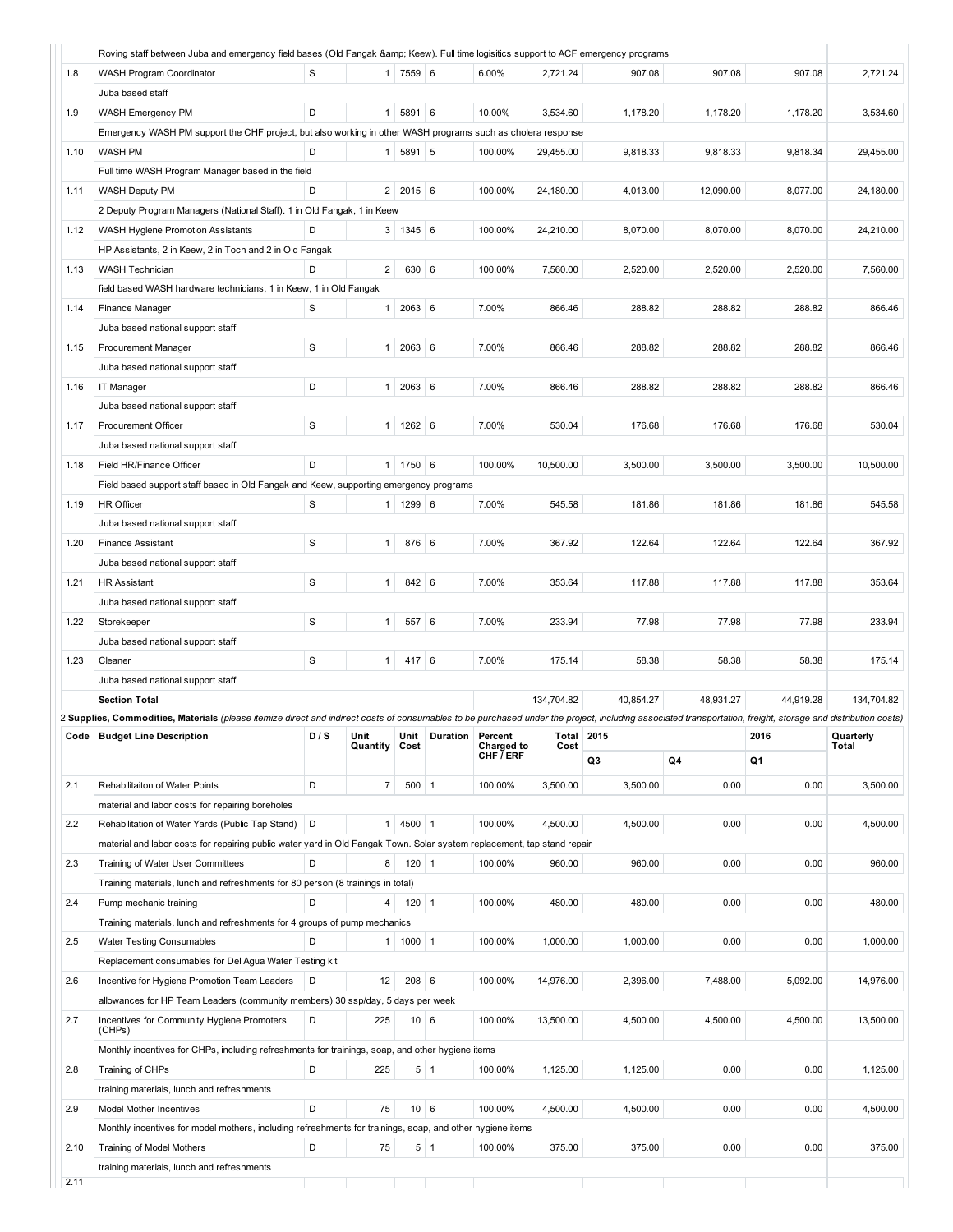|      | Roving staff between Juba and emergency field bases (Old Fangak & Keew). Full time logisitics support to ACF emergency programs                                                                              |             |                  |                      |                       |            |                    |           |           |           |                    |
|------|--------------------------------------------------------------------------------------------------------------------------------------------------------------------------------------------------------------|-------------|------------------|----------------------|-----------------------|------------|--------------------|-----------|-----------|-----------|--------------------|
| 1.8  | WASH Program Coordinator                                                                                                                                                                                     | S           | 1                | 7559 6               |                       | 6.00%      | 2.721.24           | 907.08    | 907.08    | 907.08    | 2,721.24           |
|      | Juba based staff                                                                                                                                                                                             |             |                  |                      |                       |            |                    |           |           |           |                    |
| 1.9  | WASH Emergency PM                                                                                                                                                                                            | D           | $\mathbf{1}$     | 5891 6               |                       | 10.00%     | 3,534.60           | 1,178.20  | 1,178.20  | 1,178.20  | 3,534.60           |
|      | Emergency WASH PM support the CHF project, but also working in other WASH programs such as cholera response                                                                                                  |             |                  |                      |                       |            |                    |           |           |           |                    |
| 1.10 | <b>WASH PM</b>                                                                                                                                                                                               | D           | 1 <sup>1</sup>   | 5891 5               |                       | 100.00%    | 29,455.00          | 9,818.33  | 9,818.33  | 9.818.34  | 29,455.00          |
|      | Full time WASH Program Manager based in the field                                                                                                                                                            |             |                  |                      |                       |            |                    |           |           |           |                    |
| 1.11 | <b>WASH Deputy PM</b>                                                                                                                                                                                        | D           |                  | $2 \mid 2015 \mid 6$ |                       | 100.00%    | 24,180.00          | 4,013.00  | 12,090.00 | 8,077.00  | 24,180.00          |
|      |                                                                                                                                                                                                              |             |                  |                      |                       |            |                    |           |           |           |                    |
|      | 2 Deputy Program Managers (National Staff). 1 in Old Fangak, 1 in Keew                                                                                                                                       |             |                  |                      |                       |            |                    |           |           |           |                    |
| 1.12 | WASH Hygiene Promotion Assistants                                                                                                                                                                            | D           |                  | 3   1345   6         |                       | 100.00%    | 24,210.00          | 8,070.00  | 8,070.00  | 8,070.00  | 24,210.00          |
|      | HP Assistants, 2 in Keew, 2 in Toch and 2 in Old Fangak                                                                                                                                                      |             |                  |                      |                       |            |                    |           |           |           |                    |
| 1.13 | <b>WASH Technician</b>                                                                                                                                                                                       | D           | $\overline{2}$   | 630 6                |                       | 100.00%    | 7,560.00           | 2,520.00  | 2,520.00  | 2,520.00  | 7,560.00           |
|      | field based WASH hardware technicians, 1 in Keew, 1 in Old Fangak                                                                                                                                            |             |                  |                      |                       |            |                    |           |           |           |                    |
| 1.14 | Finance Manager                                                                                                                                                                                              | S           | $\mathbf{1}$     | 2063   6             |                       | 7.00%      | 866.46             | 288.82    | 288.82    | 288.82    | 866.46             |
|      | Juba based national support staff                                                                                                                                                                            |             |                  |                      |                       |            |                    |           |           |           |                    |
| 1.15 | Procurement Manager                                                                                                                                                                                          | S           | 1                | 2063   6             |                       | 7.00%      | 866.46             | 288.82    | 288.82    | 288.82    | 866.46             |
|      | Juba based national support staff                                                                                                                                                                            |             |                  |                      |                       |            |                    |           |           |           |                    |
| 1.16 | <b>IT Manager</b>                                                                                                                                                                                            | D           | 1                | 2063   6             |                       | 7.00%      | 866.46             | 288.82    | 288.82    | 288.82    | 866.46             |
|      | Juba based national support staff                                                                                                                                                                            |             |                  |                      |                       |            |                    |           |           |           |                    |
| 1.17 | Procurement Officer                                                                                                                                                                                          | S           | 1                | $1262$ 6             |                       | 7.00%      | 530.04             | 176.68    | 176.68    | 176.68    | 530.04             |
|      | Juba based national support staff                                                                                                                                                                            |             |                  |                      |                       |            |                    |           |           |           |                    |
| 1.18 | Field HR/Finance Officer                                                                                                                                                                                     | D           |                  | 1   1750   6         |                       | 100.00%    | 10,500.00          | 3,500.00  | 3.500.00  | 3,500.00  | 10,500.00          |
|      |                                                                                                                                                                                                              |             |                  |                      |                       |            |                    |           |           |           |                    |
|      | Field based support staff based in Old Fangak and Keew, supporting emergency programs                                                                                                                        |             |                  |                      |                       |            |                    |           |           |           |                    |
| 1.19 | <b>HR Officer</b>                                                                                                                                                                                            | S           | 1                | 12996                |                       | 7.00%      | 545.58             | 181.86    | 181.86    | 181.86    | 545.58             |
|      | Juba based national support staff                                                                                                                                                                            |             |                  |                      |                       |            |                    |           |           |           |                    |
| 1.20 | <b>Finance Assistant</b>                                                                                                                                                                                     | S           | 1                | 876 6                |                       | 7.00%      | 367.92             | 122.64    | 122.64    | 122.64    | 367.92             |
|      | Juba based national support staff                                                                                                                                                                            |             |                  |                      |                       |            |                    |           |           |           |                    |
| 1.21 | <b>HR Assistant</b>                                                                                                                                                                                          | $\mathbf S$ | $\mathbf{1}$     | $842 \mid 6$         |                       | 7.00%      | 353.64             | 117.88    | 117.88    | 117.88    | 353.64             |
|      | Juba based national support staff                                                                                                                                                                            |             |                  |                      |                       |            |                    |           |           |           |                    |
| 1.22 | Storekeeper                                                                                                                                                                                                  | S           | $\mathbf{1}$     | 557 6                |                       | 7.00%      | 233.94             | 77.98     | 77.98     | 77.98     | 233.94             |
|      |                                                                                                                                                                                                              |             |                  |                      |                       |            |                    |           |           |           |                    |
|      |                                                                                                                                                                                                              |             |                  |                      |                       |            |                    |           |           |           |                    |
|      | Juba based national support staff                                                                                                                                                                            |             |                  |                      |                       |            |                    |           |           |           |                    |
| 1.23 | Cleaner                                                                                                                                                                                                      | $\mathbf S$ | $\mathbf{1}$     | $417$ 6              |                       | 7.00%      | 175.14             | 58.38     | 58.38     | 58.38     | 175.14             |
|      | Juba based national support staff                                                                                                                                                                            |             |                  |                      |                       |            |                    |           |           |           |                    |
|      | <b>Section Total</b>                                                                                                                                                                                         |             |                  |                      |                       |            | 134,704.82         | 40,854.27 | 48,931.27 | 44,919.28 | 134,704.82         |
|      | 2 Supplies, Commodities, Materials (please itemize direct and indirect costs of consumables to be purchased under the project, including associated transportation, freight, storage and distribution costs) |             |                  |                      | Unit Duration Percent |            |                    |           |           |           |                    |
|      | Code   Budget Line Description                                                                                                                                                                               | D/S         | Unit<br>Quantity | Cost                 |                       | Charged to | Total 2015<br>Cost |           |           | 2016      | Quarterly<br>Total |
|      |                                                                                                                                                                                                              |             |                  |                      |                       | CHF / ERF  |                    | Q3        | Q4        | Q1        |                    |
| 2.1  | Rehabilitaiton of Water Points                                                                                                                                                                               | D           | 7 <sup>1</sup>   | $500$ 1              |                       | 100.00%    | 3,500.00           | 3,500.00  | 0.00      | 0.00      | 3,500.00           |
|      | material and labor costs for repairing boreholes                                                                                                                                                             |             |                  |                      |                       |            |                    |           |           |           |                    |
| 2.2  | Rehabilitation of Water Yards (Public Tap Stand)                                                                                                                                                             | D           | 1                | 4500 1               |                       | 100.00%    | 4,500.00           | 4,500.00  | 0.00      | 0.00      | 4,500.00           |
|      | material and labor costs for repairing public water yard in Old Fangak Town. Solar system replacement, tap stand repair                                                                                      |             |                  |                      |                       |            |                    |           |           |           |                    |
| 2.3  | Training of Water User Committees                                                                                                                                                                            | D           | 8                | $120$ 1              |                       | 100.00%    | 960.00             | 960.00    | 0.00      | 0.00      | 960.00             |
|      |                                                                                                                                                                                                              |             |                  |                      |                       |            |                    |           |           |           |                    |
|      | Training materials, lunch and refreshments for 80 person (8 trainings in total)                                                                                                                              |             |                  |                      |                       |            |                    |           |           |           |                    |
| 2.4  | Pump mechanic training                                                                                                                                                                                       | D           | 4                | $120$ 1              |                       | 100.00%    | 480.00             | 480.00    | 0.00      | 0.00      | 480.00             |
|      | Training materials, lunch and refreshments for 4 groups of pump mechanics                                                                                                                                    |             |                  |                      |                       |            |                    |           |           |           |                    |
| 2.5  | Water Testing Consumables                                                                                                                                                                                    | D           |                  | 1   1000   1         |                       | 100.00%    | 1,000.00           | 1,000.00  | 0.00      | 0.00      | 1,000.00           |
|      | Replacement consumables for Del Agua Water Testing kit                                                                                                                                                       |             |                  |                      |                       |            |                    |           |           |           |                    |
| 2.6  | Incentive for Hygiene Promotion Team Leaders                                                                                                                                                                 | D           | 12               | $208$ 6              |                       | 100.00%    | 14,976.00          | 2,396.00  | 7,488.00  | 5,092.00  | 14,976.00          |
|      | allowances for HP Team Leaders (community members) 30 ssp/day, 5 days per week                                                                                                                               |             |                  |                      |                       |            |                    |           |           |           |                    |
| 2.7  | Incentives for Community Hygiene Promoters                                                                                                                                                                   | D           | 225              | $10 \mid 6$          |                       | 100.00%    | 13,500.00          | 4,500.00  | 4,500.00  | 4,500.00  | 13,500.00          |
|      | (CHPs)                                                                                                                                                                                                       |             |                  |                      |                       |            |                    |           |           |           |                    |
|      | Monthly incentives for CHPs, including refreshments for trainings, soap, and other hygiene items                                                                                                             |             |                  |                      |                       |            |                    |           |           |           |                    |
| 2.8  | Training of CHPs                                                                                                                                                                                             | D           | 225              |                      | 5 1                   | 100.00%    | 1,125.00           | 1,125.00  | 0.00      | 0.00      | 1,125.00           |
|      | training materials, lunch and refreshments                                                                                                                                                                   |             |                  |                      |                       |            |                    |           |           |           |                    |
| 2.9  | <b>Model Mother Incentives</b>                                                                                                                                                                               | D           | 75               | $10 \mid 6$          |                       | 100.00%    | 4,500.00           | 4,500.00  | 0.00      | 0.00      | 4,500.00           |
|      | Monthly incentives for model mothers, including refreshments for trainings, soap, and other hygiene items                                                                                                    |             |                  |                      |                       |            |                    |           |           |           |                    |
| 2.10 | <b>Training of Model Mothers</b>                                                                                                                                                                             | D           | 75               |                      | 5 1                   | 100.00%    | 375.00             | 375.00    | 0.00      | 0.00      | 375.00             |
|      | training materials, lunch and refreshments                                                                                                                                                                   |             |                  |                      |                       |            |                    |           |           |           |                    |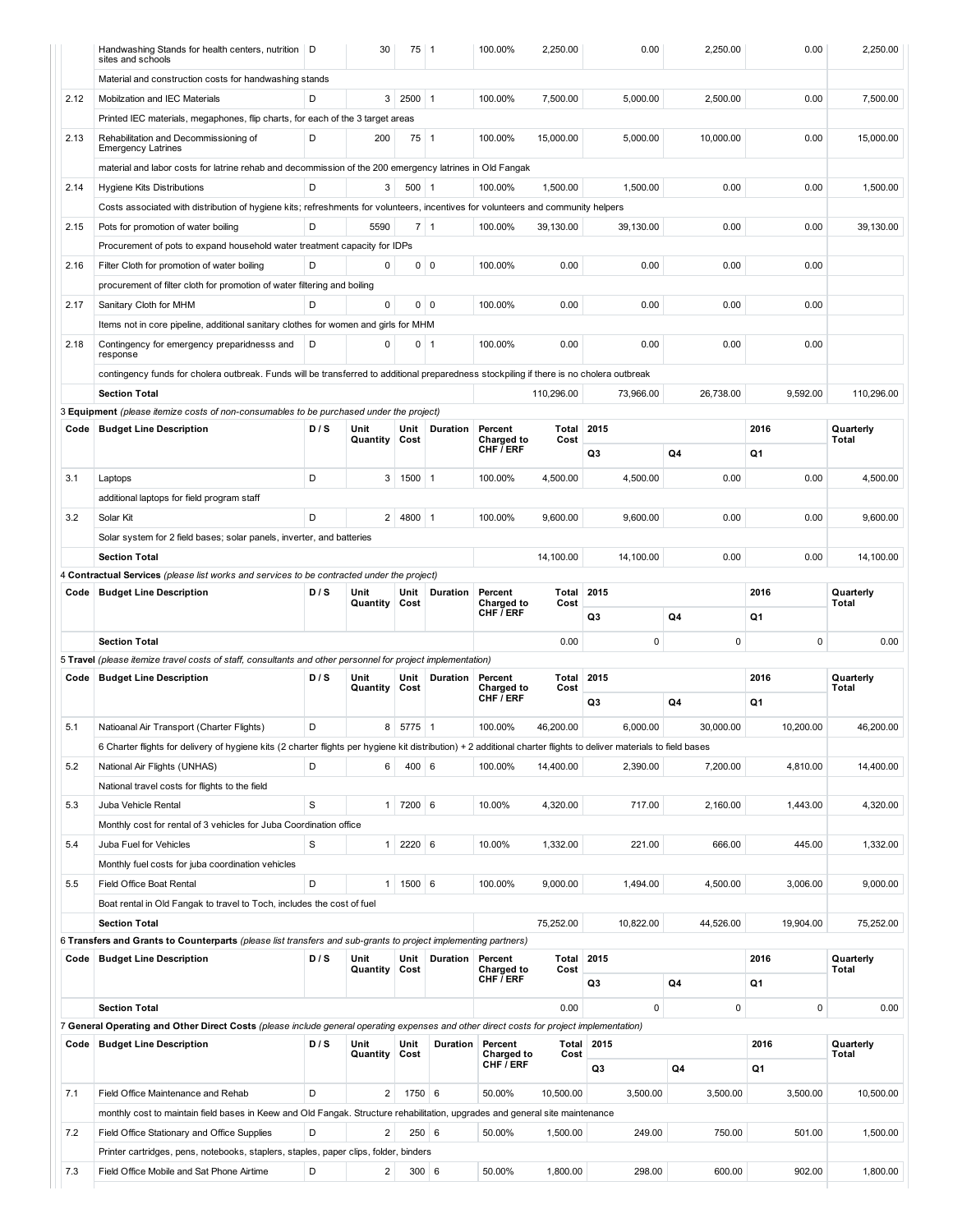|      | Handwashing Stands for health centers, nutrition   D<br>sites and schools                                                                                          |             | 30                      | $75$ 1         |                 | 100.00%                 | 2,250.00      | 0.00      | 2,250.00  | 0.00      | 2,250.00           |
|------|--------------------------------------------------------------------------------------------------------------------------------------------------------------------|-------------|-------------------------|----------------|-----------------|-------------------------|---------------|-----------|-----------|-----------|--------------------|
|      | Material and construction costs for handwashing stands                                                                                                             |             |                         |                |                 |                         |               |           |           |           |                    |
| 2.12 | Mobilzation and IEC Materials                                                                                                                                      | D           | 3 <sup>1</sup>          | $2500$ 1       |                 | 100.00%                 | 7,500.00      | 5,000.00  | 2,500.00  | 0.00      | 7,500.00           |
|      | Printed IEC materials, megaphones, flip charts, for each of the 3 target areas                                                                                     |             |                         |                |                 |                         |               |           |           |           |                    |
| 2.13 | Rehabilitation and Decommissioning of                                                                                                                              | D           | 200                     | $75$ 1         |                 | 100.00%                 | 15,000.00     | 5,000.00  | 10,000.00 | 0.00      | 15,000.00          |
|      | <b>Emergency Latrines</b>                                                                                                                                          |             |                         |                |                 |                         |               |           |           |           |                    |
|      | material and labor costs for latrine rehab and decommission of the 200 emergency latrines in Old Fangak                                                            |             |                         |                |                 |                         |               |           |           |           |                    |
| 2.14 | <b>Hygiene Kits Distributions</b>                                                                                                                                  | D           | 3                       | $500$ 1        |                 | 100.00%                 | 1,500.00      | 1,500.00  | 0.00      | 0.00      | 1,500.00           |
|      | Costs associated with distribution of hygiene kits; refreshments for volunteers, incentives for volunteers and community helpers                                   |             |                         |                |                 |                         |               |           |           |           |                    |
| 2.15 | Pots for promotion of water boiling                                                                                                                                | D           | 5590                    | $7 \mid 1$     |                 | 100.00%                 | 39,130.00     | 39,130.00 | 0.00      | 0.00      | 39.130.00          |
|      | Procurement of pots to expand household water treatment capacity for IDPs                                                                                          |             |                         |                |                 |                         |               |           |           |           |                    |
| 2.16 | Filter Cloth for promotion of water boiling                                                                                                                        | D           | 0                       | 0 <sub>0</sub> |                 | 100.00%                 | 0.00          | 0.00      | 0.00      | 0.00      |                    |
|      | procurement of filter cloth for promotion of water filtering and boiling                                                                                           |             |                         |                |                 |                         |               |           |           |           |                    |
| 2.17 | Sanitary Cloth for MHM                                                                                                                                             | D           | 0                       | $0$ 0          |                 | 100.00%                 | 0.00          | 0.00      | 0.00      | 0.00      |                    |
|      | Items not in core pipeline, additional sanitary clothes for women and girls for MHM                                                                                |             |                         |                |                 |                         |               |           |           |           |                    |
| 2.18 | Contingency for emergency preparidnesss and<br>response                                                                                                            | D           | $\mathbf 0$             | $0 \mid 1$     |                 | 100.00%                 | 0.00          | 0.00      | 0.00      | 0.00      |                    |
|      | contingency funds for cholera outbreak. Funds will be transferred to additional preparedness stockpiling if there is no cholera outbreak                           |             |                         |                |                 |                         |               |           |           |           |                    |
|      | <b>Section Total</b>                                                                                                                                               |             |                         |                |                 |                         | 110,296.00    | 73,966.00 | 26,738.00 | 9,592.00  | 110,296.00         |
|      | 3 Equipment (please itemize costs of non-consumables to be purchased under the project)                                                                            |             |                         |                |                 |                         |               |           |           |           |                    |
| Code | <b>Budget Line Description</b>                                                                                                                                     | D/S         | Unit<br><b>Quantity</b> | Unit<br>Cost   | <b>Duration</b> | Percent<br>Charged to   | Total<br>Cost | 2015      |           | 2016      | Quarterly<br>Total |
|      |                                                                                                                                                                    |             |                         |                |                 | CHF / ERF               |               | Q3        | Q4        | Q1        |                    |
| 3.1  | Laptops                                                                                                                                                            | D           | 3                       | 1500 1         |                 | 100.00%                 | 4,500.00      | 4,500.00  | 0.00      | 0.00      | 4.500.00           |
|      | additional laptops for field program staff                                                                                                                         |             |                         |                |                 |                         |               |           |           |           |                    |
| 3.2  | Solar Kit                                                                                                                                                          | D           |                         | 2   4800   1   |                 | 100.00%                 | 9,600.00      | 9,600.00  | 0.00      | 0.00      | 9,600.00           |
|      | Solar system for 2 field bases; solar panels, inverter, and batteries                                                                                              |             |                         |                |                 |                         |               |           |           |           |                    |
|      | <b>Section Total</b>                                                                                                                                               |             |                         |                |                 |                         | 14,100.00     | 14,100.00 | 0.00      | 0.00      | 14,100.00          |
|      | 4 Contractual Services (please list works and services to be contracted under the project)                                                                         |             |                         |                |                 |                         |               |           |           |           |                    |
| Code | <b>Budget Line Description</b>                                                                                                                                     | D/S         | Unit                    | Unit           | <b>Duration</b> | Percent                 | Total         | 2015      |           | 2016      | Quarterly          |
|      |                                                                                                                                                                    |             | Quantity                | Cost           |                 | Charged to<br>CHF / ERF | Cost          |           |           |           | Total              |
|      |                                                                                                                                                                    |             |                         |                |                 |                         |               | Q3        | Q4        | Q1        |                    |
|      | <b>Section Total</b>                                                                                                                                               |             |                         |                |                 |                         | 0.00          | 0         | $\pmb{0}$ | 0         | 0.00               |
|      | 5 Travel (please itemize travel costs of staff, consultants and other personnel for project implementation)                                                        |             |                         |                |                 |                         |               |           |           |           |                    |
| Code | <b>Budget Line Description</b>                                                                                                                                     | D/S         | Unit<br>Quantity        | Unit<br>Cost   | Duration        | Percent<br>Charged to   | Total<br>Cost | 2015      |           | 2016      | Quarterly<br>Total |
|      |                                                                                                                                                                    |             |                         |                |                 |                         |               |           |           |           |                    |
|      |                                                                                                                                                                    |             |                         |                |                 | CHF / ERF               |               | Q3        | Q4        | Q1        |                    |
| 5.1  | Natioanal Air Transport (Charter Flights)                                                                                                                          | D           | 8                       | $5775$ 1       |                 | 100.00%                 | 46,200.00     | 6,000.00  | 30.000.00 | 10,200.00 | 46,200.00          |
|      | 6 Charter flights for delivery of hygiene kits (2 charter flights per hygiene kit distribution) + 2 additional charter flights to deliver materials to field bases |             |                         |                |                 |                         |               |           |           |           |                    |
| 5.2  | National Air Flights (UNHAS)                                                                                                                                       | D           | 6                       | 400 6          |                 | 100.00%                 | 14,400.00     | 2,390.00  | 7,200.00  | 4,810.00  | 14,400.00          |
|      | National travel costs for flights to the field                                                                                                                     |             |                         |                |                 |                         |               |           |           |           |                    |
| 5.3  | Juba Vehicle Rental                                                                                                                                                | $\mathbf S$ | 1                       | 7200 6         |                 | 10.00%                  | 4,320.00      | 717.00    | 2,160.00  | 1,443.00  | 4,320.00           |
|      | Monthly cost for rental of 3 vehicles for Juba Coordination office                                                                                                 |             |                         |                |                 |                         |               |           |           |           |                    |
| 5.4  | Juba Fuel for Vehicles                                                                                                                                             | S           | 1                       | 2220 6         |                 | 10.00%                  | 1,332.00      | 221.00    | 666.00    | 445.00    | 1,332.00           |
|      | Monthly fuel costs for juba coordination vehicles                                                                                                                  |             |                         |                |                 |                         |               |           |           |           |                    |
| 5.5  | Field Office Boat Rental                                                                                                                                           | D           | 1 <sup>1</sup>          | $1500 \, 6$    |                 | 100.00%                 | 9,000.00      | 1,494.00  | 4,500.00  | 3,006.00  | 9,000.00           |
|      | Boat rental in Old Fangak to travel to Toch, includes the cost of fuel                                                                                             |             |                         |                |                 |                         |               |           |           |           |                    |
|      | <b>Section Total</b>                                                                                                                                               |             |                         |                |                 |                         | 75,252.00     | 10,822.00 | 44,526.00 | 19,904.00 | 75,252.00          |
|      | 6 Transfers and Grants to Counterparts (please list transfers and sub-grants to project implementing partners)                                                     |             |                         |                |                 |                         |               |           |           |           |                    |
| Code | <b>Budget Line Description</b>                                                                                                                                     | D/S         | Unit                    | Unit           | Duration        | Percent                 | Total         | 2015      |           | 2016      | Quarterly          |
|      |                                                                                                                                                                    |             | Quantity                | Cost           |                 | Charged to<br>CHF / ERF | Cost          |           |           | Q1        | Total              |
|      |                                                                                                                                                                    |             |                         |                |                 |                         |               | Q3        | Q4        |           |                    |
|      | <b>Section Total</b>                                                                                                                                               |             |                         |                |                 |                         | 0.00          | 0         | $\pmb{0}$ | 0         | 0.00               |
|      | 7 General Operating and Other Direct Costs (please include general operating expenses and other direct costs for project implementation)                           |             |                         |                |                 |                         |               |           |           |           |                    |
| Code | <b>Budget Line Description</b>                                                                                                                                     | D/S         | Unit<br>Quantity        | Unit<br>Cost   | Duration        | Percent<br>Charged to   | Total<br>Cost | 2015      |           | 2016      | Quarterly<br>Total |
|      |                                                                                                                                                                    |             |                         |                |                 | CHF / ERF               |               | Q3        | Q4        | Q1        |                    |
| 7.1  | Field Office Maintenance and Rehab                                                                                                                                 | D           | 2                       | 1750 6         |                 | 50.00%                  | 10,500.00     | 3,500.00  | 3,500.00  | 3,500.00  | 10,500.00          |
|      | monthly cost to maintain field bases in Keew and Old Fangak. Structure rehabilitation, upgrades and general site maintenance                                       |             |                         |                |                 |                         |               |           |           |           |                    |
| 7.2  | Field Office Stationary and Office Supplies                                                                                                                        | D           | $\overline{c}$          | 250 6          |                 | 50.00%                  | 1,500.00      | 249.00    | 750.00    | 501.00    | 1,500.00           |
|      | Printer cartridges, pens, notebooks, staplers, staples, paper clips, folder, binders                                                                               |             |                         |                |                 |                         |               |           |           |           |                    |